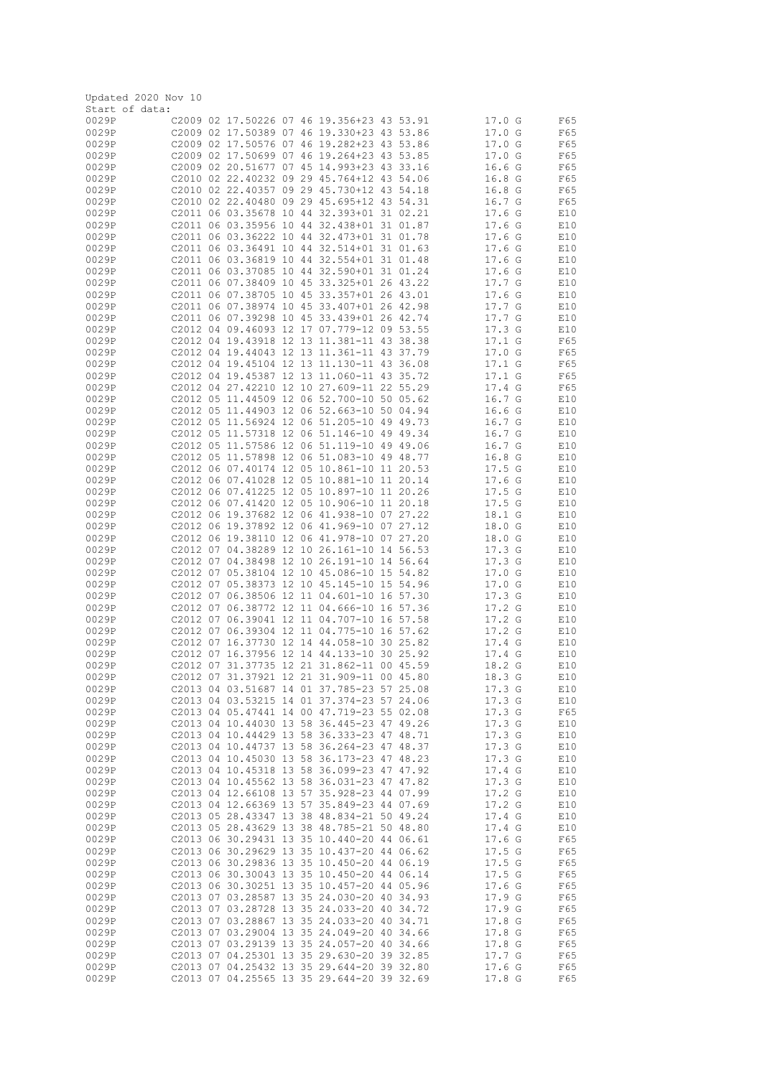|                | Updated 2020 Nov 10 |  |  |                                                                                          |  |                                        |            |
|----------------|---------------------|--|--|------------------------------------------------------------------------------------------|--|----------------------------------------|------------|
| Start of data: |                     |  |  |                                                                                          |  |                                        |            |
| 0029P          |                     |  |  | C2009 02 17.50226 07 46 19.356+23 43 53.91                                               |  | $17.0_G$                               | F65        |
| 0029P          |                     |  |  | C2009 02 17.50389 07 46 19.330+23 43 53.86                                               |  | 17.0 G                                 | F65        |
| 0029P<br>0029P |                     |  |  | C2009 02 17.50576 07 46 19.282+23 43 53.86<br>C2009 02 17.50699 07 46 19.264+23 43 53.85 |  | 17.0 G<br>17.0 G                       | F65        |
| 0029P          |                     |  |  | C2009 02 20.51677 07 45 14.993+23 43 33.16                                               |  | 16.6G                                  | F65<br>F65 |
| 0029P          |                     |  |  | C2010 02 22,40232 09 29 45,764+12 43 54.06                                               |  | 16.8 <sub>G</sub>                      | F65        |
| 0029P          |                     |  |  | C2010 02 22.40357 09 29 45.730+12 43 54.18                                               |  | 16.8 <sub>G</sub>                      | F65        |
| 0029P          |                     |  |  | C2010 02 22.40480 09 29 45.695+12 43 54.31                                               |  | 16.7 G                                 | F65        |
| 0029P          |                     |  |  | C2011 06 03.35678 10 44 32.393+01 31 02.21                                               |  | 17.6 <sub>G</sub>                      | E10        |
| 0029P          |                     |  |  | C2011 06 03.35956 10 44 32.438+01 31 01.87                                               |  | 17.6 <sub>G</sub>                      | E10        |
| 0029P          |                     |  |  | C2011 06 03.36222 10 44 32.473+01 31 01.78                                               |  | 17.6 <sub>G</sub>                      | E10        |
| 0029P          |                     |  |  | C2011 06 03.36491 10 44 32.514+01 31 01.63                                               |  | 17.6 <sub>G</sub>                      | E10        |
| 0029P          |                     |  |  | C2011 06 03.36819 10 44 32.554+01 31 01.48                                               |  | 17.6 <sub>G</sub>                      | E10        |
| 0029P          |                     |  |  | C2011 06 03.37085 10 44 32.590+01 31 01.24                                               |  | 17.6 <sub>G</sub>                      | E10        |
| 0029P          |                     |  |  | C2011 06 07.38409 10 45 33.325+01 26 43.22                                               |  | 17.7 G                                 | E10        |
| 0029P          |                     |  |  | C2011 06 07.38705 10 45 33.357+01 26 43.01                                               |  | 17.6 <sub>G</sub>                      | E10        |
| 0029P          |                     |  |  | C2011 06 07.38974 10 45 33.407+01 26 42.98                                               |  | 17.7 G                                 | E10        |
| 0029P          |                     |  |  | C2011 06 07.39298 10 45 33.439+01 26 42.74                                               |  | 17.7 G                                 | E10        |
| 0029P          |                     |  |  | C2012 04 09.46093 12 17 07.779-12 09 53.55                                               |  | 17.3 <sub>G</sub>                      | E10        |
| 0029P          |                     |  |  | C2012 04 19.43918 12 13 11.381-11 43 38.38                                               |  | 17.1 G                                 | F65        |
| 0029P          |                     |  |  | C2012 04 19.44043 12 13 11.361-11 43 37.79                                               |  | 17.0 G                                 | F65        |
| 0029P          |                     |  |  | C2012 04 19.45104 12 13 11.130-11 43 36.08                                               |  | 17.1 G                                 | F65        |
| 0029P<br>0029P |                     |  |  | C2012 04 19.45387 12 13 11.060-11 43 35.72<br>C2012 04 27.42210 12 10 27.609-11 22 55.29 |  | $17.1_G$<br>17.4 <sub>G</sub>          | F65<br>F65 |
| 0029P          |                     |  |  | C2012 05 11,44509 12 06 52,700-10 50 05.62                                               |  | 16.7 G                                 | E10        |
| 0029P          |                     |  |  | C2012 05 11,44903 12 06 52.663-10 50 04.94                                               |  | 16.6 <sub>G</sub>                      | E10        |
| 0029P          |                     |  |  | C2012 05 11.56924 12 06 51.205-10 49 49.73                                               |  | 16.7 G                                 | E10        |
| 0029P          |                     |  |  | C2012 05 11.57318 12 06 51.146-10 49 49.34                                               |  | 16.7 G                                 | E10        |
| 0029P          |                     |  |  | C2012 05 11.57586 12 06 51.119-10 49 49.06                                               |  | 16.7 G                                 | E10        |
| 0029P          |                     |  |  | C2012 05 11.57898 12 06 51.083-10 49 48.77                                               |  | 16.8 <sub>G</sub>                      | E10        |
| 0029P          |                     |  |  | C2012 06 07.40174 12 05 10.861-10 11 20.53                                               |  | 17.5G                                  | E10        |
| 0029P          |                     |  |  | C2012 06 07.41028 12 05 10.881-10 11 20.14                                               |  | 17.6 <sub>G</sub>                      | E10        |
| 0029P          |                     |  |  | C2012 06 07.41225 12 05 10.897-10 11 20.26                                               |  | 17.5G                                  | E10        |
| 0029P          |                     |  |  | C2012 06 07.41420 12 05 10.906-10 11 20.18                                               |  | 17.5 G                                 | E10        |
| 0029P          |                     |  |  | C2012 06 19.37682 12 06 41.938-10 07 27.22                                               |  | 18.1 G                                 | E10        |
| 0029P          |                     |  |  | C2012 06 19.37892 12 06 41.969-10 07 27.12                                               |  | 18.0 G                                 | E10        |
| 0029P          |                     |  |  | C2012 06 19.38110 12 06 41.978-10 07 27.20                                               |  | 18.0 G                                 | E10        |
| 0029P<br>0029P |                     |  |  | C2012 07 04.38289 12 10 26.161-10 14 56.53<br>C2012 07 04.38498 12 10 26.191-10 14 56.64 |  | 17.3 <sub>G</sub><br>17.3 <sub>G</sub> | E10<br>E10 |
| 0029P          |                     |  |  | C2012 07 05.38104 12 10 45.086-10 15 54.82                                               |  | 17.0 G                                 | E10        |
| 0029P          |                     |  |  | C2012 07 05.38373 12 10 45.145-10 15 54.96                                               |  | 17.0 G                                 | E10        |
| 0029P          |                     |  |  | C2012 07 06.38506 12 11 04.601-10 16 57.30                                               |  | 17.3 <sub>G</sub>                      | E10        |
| 0029P          |                     |  |  | C2012 07 06.38772 12 11 04.666-10 16 57.36                                               |  | 17.2 <sub>G</sub>                      | E10        |
| 0029P          |                     |  |  | C2012 07 06.39041 12 11 04.707-10 16 57.58                                               |  | 17.2 <sub>G</sub>                      | E10        |
| 0029P          |                     |  |  | C2012 07 06.39304 12 11 04.775-10 16 57.62                                               |  | 17.2 <sub>G</sub>                      | E10        |
| 0029P          |                     |  |  | C2012 07 16.37730 12 14 44.058-10 30 25.82                                               |  | 17.4 G                                 | E10        |
| 0029P          |                     |  |  | C2012 07 16.37956 12 14 44.133-10 30 25.92                                               |  | 17.4 <sub>G</sub>                      | E10        |
| 0029P          |                     |  |  | C2012 07 31.37735 12 21 31.862-11 00 45.59                                               |  | 18.2 G                                 | E10        |
| 0029P<br>0029P |                     |  |  | C2012 07 31.37921 12 21 31.909-11 00 45.80                                               |  | 18.3 G                                 | E10        |
| 0029P          |                     |  |  | C2013 04 03.51687 14 01 37.785-23 57 25.08<br>C2013 04 03.53215 14 01 37.374-23 57 24.06 |  | 17.3 G<br>17.3 G                       | E10<br>E10 |
| 0029P          |                     |  |  | C2013 04 05.47441 14 00 47.719-23 55 02.08                                               |  | 17.3 <sub>G</sub>                      | F65        |
| 0029P          |                     |  |  | C2013 04 10.44030 13 58 36.445-23 47 49.26                                               |  | 17.3 <sub>G</sub>                      | E10        |
| 0029P          |                     |  |  | C2013 04 10.44429 13 58 36.333-23 47 48.71                                               |  | 17.3 <sub>G</sub>                      | E10        |
| 0029P          |                     |  |  | C2013 04 10.44737 13 58 36.264-23 47 48.37                                               |  | 17.3 <sub>G</sub>                      | E10        |
| 0029P          |                     |  |  | C2013 04 10.45030 13 58 36.173-23 47 48.23                                               |  | 17.3 <sub>G</sub>                      | E10        |
| 0029P          |                     |  |  | C2013 04 10.45318 13 58 36.099-23 47 47.92                                               |  | 17.4 G                                 | E10        |
| 0029P          |                     |  |  | C2013 04 10.45562 13 58 36.031-23 47 47.82                                               |  | 17.3 <sub>G</sub>                      | E10        |
| 0029P          |                     |  |  | C2013 04 12.66108 13 57 35.928-23 44 07.99                                               |  | 17.2 G                                 | E10        |
| 0029P          |                     |  |  | C2013 04 12.66369 13 57 35.849-23 44 07.69                                               |  | 17.2 <sub>G</sub>                      | E10        |
| 0029P          |                     |  |  | C2013 05 28.43347 13 38 48.834-21 50 49.24                                               |  | 17.4 G                                 | E10        |
| 0029P          |                     |  |  | C2013 05 28.43629 13 38 48.785-21 50 48.80                                               |  | 17.4 G                                 | E10        |
| 0029P<br>0029P |                     |  |  | C2013 06 30.29431 13 35 10.440-20 44 06.61<br>C2013 06 30.29629 13 35 10.437-20 44 06.62 |  | 17.6 <sub>G</sub><br>17.5G             | F65<br>F65 |
| 0029P          |                     |  |  | C2013 06 30.29836 13 35 10.450-20 44 06.19                                               |  | 17.5G                                  | F65        |
| 0029P          |                     |  |  | C2013 06 30.30043 13 35 10.450-20 44 06.14                                               |  | 17.5G                                  | F65        |
| 0029P          |                     |  |  | C2013 06 30.30251 13 35 10.457-20 44 05.96                                               |  | 17.6 <sub>G</sub>                      | F65        |
| 0029P          |                     |  |  | C2013 07 03.28587 13 35 24.030-20 40 34.93                                               |  | 17.9 G                                 | F65        |
| 0029P          |                     |  |  | C2013 07 03.28728 13 35 24.033-20 40 34.72                                               |  | 17.9 G                                 | F65        |
| 0029P          |                     |  |  | C2013 07 03.28867 13 35 24.033-20 40 34.71                                               |  | 17.8 G                                 | F65        |
| 0029P          |                     |  |  | C2013 07 03.29004 13 35 24.049-20 40 34.66                                               |  | 17.8 G                                 | F65        |
| 0029P          |                     |  |  | C2013 07 03.29139 13 35 24.057-20 40 34.66                                               |  | 17.8 G                                 | F65        |
| 0029P          |                     |  |  | C2013 07 04.25301 13 35 29.630-20 39 32.85                                               |  | 17.7 G                                 | F65        |
| 0029P          |                     |  |  | C2013 07 04.25432 13 35 29.644-20 39 32.80                                               |  | 17.6 <sub>G</sub>                      | F65        |
| 0029P          |                     |  |  | C2013 07 04.25565 13 35 29.644-20 39 32.69                                               |  | 17.8 G                                 | F65        |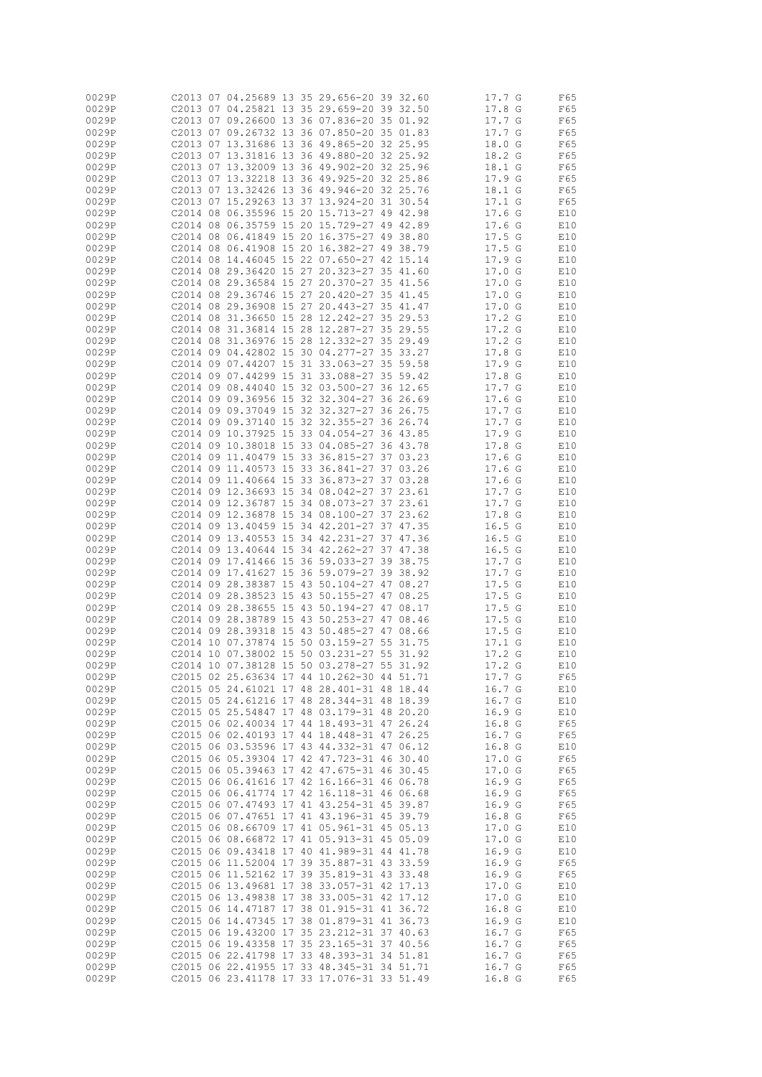| 0029P |          |    |                         |       |    | C2013 07 04.25689 13 35 29.656-20 39 32.60 |    |          | 17.7 G            |   | F65 |
|-------|----------|----|-------------------------|-------|----|--------------------------------------------|----|----------|-------------------|---|-----|
| 0029P |          |    |                         |       |    | C2013 07 04.25821 13 35 29.659-20 39 32.50 |    |          | 17.8              | G | F65 |
| 0029P |          |    |                         |       |    | 02013 07 09.26600 13 36 07.836-20 35 01.92 |    |          | 17.7 G            |   | F65 |
|       |          |    |                         |       |    |                                            |    |          |                   |   |     |
| 0029P | C2013 07 |    |                         |       |    | 09.26732 13 36 07.850-20 35 01.83          |    |          | 17.7 G            |   | F65 |
| 0029P |          |    |                         |       |    | C2013 07 13.31686 13 36 49.865-20 32 25.95 |    |          | 18.0 G            |   | F65 |
| 0029P | C2013 07 |    |                         |       |    | 13.31816 13 36 49.880-20 32 25.92          |    |          | 18.2 G            |   | F65 |
|       |          |    |                         |       |    |                                            |    |          |                   |   |     |
| 0029P |          |    |                         |       |    | C2013 07 13.32009 13 36 49.902-20 32 25.96 |    |          | 18.1 G            |   | F65 |
| 0029P | C2013 07 |    |                         |       |    | 13.32218 13 36 49.925-20 32 25.86          |    |          | 17.9 G            |   | F65 |
| 0029P |          |    |                         |       |    | C2013 07 13.32426 13 36 49.946-20 32 25.76 |    |          | 18.1 G            |   | F65 |
|       |          |    |                         |       |    |                                            |    |          |                   |   |     |
| 0029P | C2013 07 |    | 15.29263 13             |       |    | 37 13.924-20 31 30.54                      |    |          | 17.1 G            |   | F65 |
| 0029P |          |    |                         |       |    | C2014 08 06.35596 15 20 15.713-27 49 42.98 |    |          | 17.6 <sub>G</sub> |   | E10 |
| 0029P | C2014 08 |    |                         |       |    | 06.35759 15 20 15.729-27 49 42.89          |    |          | 17.6 <sub>G</sub> |   | E10 |
| 0029P |          |    |                         |       |    | C2014 08 06.41849 15 20 16.375-27 49 38.80 |    |          | 17.5G             |   |     |
|       |          |    |                         |       |    |                                            |    |          |                   |   | E10 |
| 0029P |          |    | C2014 08 06.41908 15 20 |       |    | 16.382-27 49 38.79                         |    |          | 17.5G             |   | E10 |
| 0029P |          |    |                         |       |    | C2014 08 14.46045 15 22 07.650-27 42 15.14 |    |          | 17.9 <sub>g</sub> |   | E10 |
| 0029P | C2014 08 |    | 29.36420                | 15 27 |    | $20.323 - 27$                              | 35 | 41.60    | 17.0 G            |   | E10 |
|       |          |    |                         |       |    |                                            |    |          |                   |   |     |
| 0029P |          |    |                         |       |    | C2014 08 29.36584 15 27 20.370-27 35 41.56 |    |          | 17.0 G            |   | E10 |
| 0029P | C2014 08 |    | 29.36746 15 27          |       |    | $20.420 - 27$                              |    | 35 41.45 | 17.0 G            |   | E10 |
| 0029P |          |    |                         |       |    | C2014 08 29.36908 15 27 20.443-27 35       |    | 41.47    | 17.0 G            |   | E10 |
| 0029P | C2014    | 08 | 31,36650                | 15 28 |    | 12.242-27                                  | 35 | 29.53    | 17.2 G            |   | E10 |
|       |          |    |                         |       |    |                                            |    |          |                   |   |     |
| 0029P |          |    | C2014 08 31.36814 15 28 |       |    | 12.287-27 35 29.55                         |    |          | 17.2 <sub>G</sub> |   | E10 |
| 0029P | C2014 08 |    | 31.36976 15 28          |       |    | 12.332-27                                  |    | 35 29.49 | 17.2 G            |   | E10 |
| 0029P |          |    |                         |       |    | C2014 09 04.42802 15 30 04.277-27 35       |    | 33.27    | 17.8 G            |   | E10 |
| 0029P |          |    | C2014 09 07.44207       | 15 31 |    | $33.063 - 27$                              | 35 | 59.58    | 17.9G             |   | E10 |
|       |          |    |                         |       |    |                                            |    |          |                   |   |     |
| 0029P |          |    |                         |       |    | C2014 09 07.44299 15 31 33.088-27 35       |    | 59.42    | 17.8 <sub>G</sub> |   | E10 |
| 0029P |          |    |                         |       |    | C2014 09 08.44040 15 32 03.500-27 36 12.65 |    |          | 17.7G             |   | E10 |
| 0029P |          |    | C2014 09 09.36956 15 32 |       |    | 32.304-27 36 26.69                         |    |          | 17.6 <sub>g</sub> |   | E10 |
|       |          |    |                         |       |    |                                            |    |          |                   |   |     |
| 0029P |          |    | C2014 09 09.37049 15 32 |       |    | 32.327-27                                  |    | 36 26.75 | 17.7 G            |   | E10 |
| 0029P |          |    |                         |       |    | C2014 09 09.37140 15 32 32.355-27 36 26.74 |    |          | 17.7 G            |   | E10 |
| 0029P | C2014 09 |    | 10.37925 15             |       | 33 | 04.054-27                                  |    | 36 43.85 | 17.9              | G | E10 |
| 0029P |          |    |                         |       |    | 02014 09 10.38018 15 33 04.085-27 36 43.78 |    |          | 17.8 G            |   | E10 |
|       |          |    |                         |       |    |                                            |    |          |                   |   |     |
| 0029P | C2014    | 09 | 11,40479 15 33          |       |    | $36.815 - 27$                              |    | 37 03.23 | 17.6 <sub>G</sub> |   | E10 |
| 0029P |          |    |                         |       |    | C2014 09 11.40573 15 33 36.841-27 37 03.26 |    |          | 17.6 <sub>g</sub> |   | E10 |
| 0029P |          |    |                         |       |    | C2014 09 11.40664 15 33 36.873-27          |    | 37 03.28 | 17.6 <sub>g</sub> |   | E10 |
| 0029P |          |    |                         |       |    | C2014 09 12.36693 15 34 08.042-27 37 23.61 |    |          |                   |   |     |
|       |          |    |                         |       |    |                                            |    |          | 17.7G             |   | E10 |
| 0029P |          |    |                         |       |    | C2014 09 12.36787 15 34 08.073-27          |    | 37 23.61 | 17.7              | G | E10 |
| 0029P |          |    |                         |       |    | C2014 09 12.36878 15 34 08.100-27 37 23.62 |    |          | 17.8              | G | E10 |
| 0029P |          |    |                         |       |    | C2014 09 13.40459 15 34 42.201-27          |    | 37 47.35 | 16.5              | G | E10 |
|       |          |    |                         |       |    |                                            |    |          |                   |   |     |
| 0029P |          |    |                         |       |    | C2014 09 13.40553 15 34 42.231-27 37       |    | 47.36    | 16.5              | G | E10 |
| 0029P |          |    | C2014 09 13.40644 15    |       |    | 34 42.262-27                               | 37 | 47.38    | 16.5              | G | E10 |
| 0029P |          |    | C2014 09 17.41466 15    |       |    | 36 59.033-27 39 38.75                      |    |          | 17.7 G            |   | E10 |
| 0029P |          |    | C2014 09 17.41627 15    |       |    | 36 59.079-27                               |    | 39 38.92 | 17.7              | G | E10 |
|       |          |    |                         |       |    |                                            |    |          |                   |   |     |
| 0029P | C2014 09 |    | 28.38387 15             |       |    | 43 50.104-27                               |    | 47 08.27 | 17.5              | G | E10 |
| 0029P | C2014    |    | 09 28.38523 15          |       |    | 43 50.155-27                               |    | 47 08.25 | 17.5              | G | E10 |
| 0029P |          |    | C2014 09 28.38655 15    |       |    | 43 50.194-27                               |    | 47 08.17 | 17.5G             |   | E10 |
| 0029P |          |    |                         |       |    | C2014 09 28.38789 15 43 50.253-27          |    | 47 08.46 | 17.5              | G | E10 |
|       |          |    |                         |       |    |                                            |    |          |                   |   |     |
| 0029P | C2014 09 |    |                         |       |    | 28.39318 15 43 50.485-27                   | 47 | 08.66    | 17.5G             |   | E10 |
| 0029P |          |    | C2014 10 07.37874 15    |       |    | 50 03.159-27                               | 55 | 31.75    | 17.1              | G | E10 |
| 0029P |          |    |                         |       |    | C2014 10 07.38002 15 50 03.231-27          |    | 55 31.92 | 17.2 <sub>G</sub> |   | E10 |
| 0029P |          |    |                         |       |    | C2014 10 07.38128 15 50 03.278-27 55 31.92 |    |          | 17.2 G            |   | E10 |
|       |          |    |                         |       |    |                                            |    |          |                   |   |     |
| 0029P |          |    |                         |       |    | C2015 02 25.63634 17 44 10.262-30 44 51.71 |    |          | 17.7 G            |   | F65 |
| 0029P |          |    |                         |       |    | C2015 05 24.61021 17 48 28.401-31 48 18.44 |    |          | 16.7 G            |   | E10 |
| 0029P |          |    |                         |       |    | C2015 05 24.61216 17 48 28.344-31 48 18.39 |    |          | 16.7 G            |   | E10 |
| 0029P |          |    |                         |       |    | C2015 05 25.54847 17 48 03.179-31 48 20.20 |    |          | 16.9 G            |   | E10 |
|       |          |    |                         |       |    |                                            |    |          |                   |   |     |
| 0029P |          |    |                         |       |    | C2015 06 02.40034 17 44 18.493-31 47 26.24 |    |          | 16.8 G            |   | F65 |
| 0029P |          |    |                         |       |    | C2015 06 02.40193 17 44 18.448-31 47 26.25 |    |          | 16.7 G            |   | F65 |
| 0029P |          |    |                         |       |    | C2015 06 03.53596 17 43 44.332-31 47 06.12 |    |          | 16.8 <sub>G</sub> |   | E10 |
| 0029P |          |    |                         |       |    | C2015 06 05.39304 17 42 47.723-31 46 30.40 |    |          | 17.0 <sub>G</sub> |   | F65 |
|       |          |    |                         |       |    | C2015 06 05.39463 17 42 47.675-31 46 30.45 |    |          | 17.0 G            |   |     |
| 0029P |          |    |                         |       |    |                                            |    |          |                   |   | F65 |
| 0029P |          |    |                         |       |    | C2015 06 06.41616 17 42 16.166-31 46 06.78 |    |          | 16.9 <sub>G</sub> |   | F65 |
| 0029P |          |    |                         |       |    | C2015 06 06.41774 17 42 16.118-31 46 06.68 |    |          | 16.9 G            |   | F65 |
| 0029P |          |    |                         |       |    | C2015 06 07.47493 17 41 43.254-31 45 39.87 |    |          | 16.9 <sub>G</sub> |   | F65 |
| 0029P |          |    |                         |       |    |                                            |    |          | 16.8 <sub>G</sub> |   |     |
|       |          |    |                         |       |    | C2015 06 07.47651 17 41 43.196-31 45 39.79 |    |          |                   |   | F65 |
| 0029P |          |    |                         |       |    | C2015 06 08.66709 17 41 05.961-31 45 05.13 |    |          | 17.0 G            |   | E10 |
| 0029P |          |    |                         |       |    | C2015 06 08.66872 17 41 05.913-31 45 05.09 |    |          | 17.0 G            |   | E10 |
| 0029P |          |    |                         |       |    | C2015 06 09.43418 17 40 41.989-31 44 41.78 |    |          | 16.9 G            |   | E10 |
| 0029P |          |    |                         |       |    | C2015 06 11.52004 17 39 35.887-31 43 33.59 |    |          | 16.9 G            |   | F65 |
|       |          |    |                         |       |    |                                            |    |          |                   |   |     |
| 0029P |          |    |                         |       |    | C2015 06 11.52162 17 39 35.819-31 43 33.48 |    |          | 16.9 <sub>G</sub> |   | F65 |
| 0029P |          |    |                         |       |    | C2015 06 13.49681 17 38 33.057-31 42 17.13 |    |          | 17.0 G            |   | E10 |
| 0029P |          |    |                         |       |    | C2015 06 13.49838 17 38 33.005-31 42 17.12 |    |          | 17.0 G            |   | E10 |
|       |          |    |                         |       |    |                                            |    |          |                   |   |     |
| 0029P |          |    |                         |       |    | C2015 06 14.47187 17 38 01.915-31 41 36.72 |    |          | 16.8 G            |   | E10 |
| 0029P |          |    |                         |       |    | C2015 06 14.47345 17 38 01.879-31 41 36.73 |    |          | 16.9 <sub>G</sub> |   | E10 |
| 0029P |          |    |                         |       |    | C2015 06 19.43200 17 35 23.212-31 37 40.63 |    |          | 16.7 G            |   | F65 |
| 0029P |          |    |                         |       |    | C2015 06 19.43358 17 35 23.165-31 37 40.56 |    |          | 16.7 G            |   | F65 |
|       |          |    |                         |       |    | C2015 06 22.41798 17 33 48.393-31 34 51.81 |    |          |                   |   |     |
| 0029P |          |    |                         |       |    |                                            |    |          | 16.7 G            |   | F65 |
| 0029P |          |    |                         |       |    | C2015 06 22.41955 17 33 48.345-31 34 51.71 |    |          | 16.7 G            |   | F65 |
| 0029P |          |    |                         |       |    | C2015 06 23.41178 17 33 17.076-31 33 51.49 |    |          | 16.8 <sub>G</sub> |   | F65 |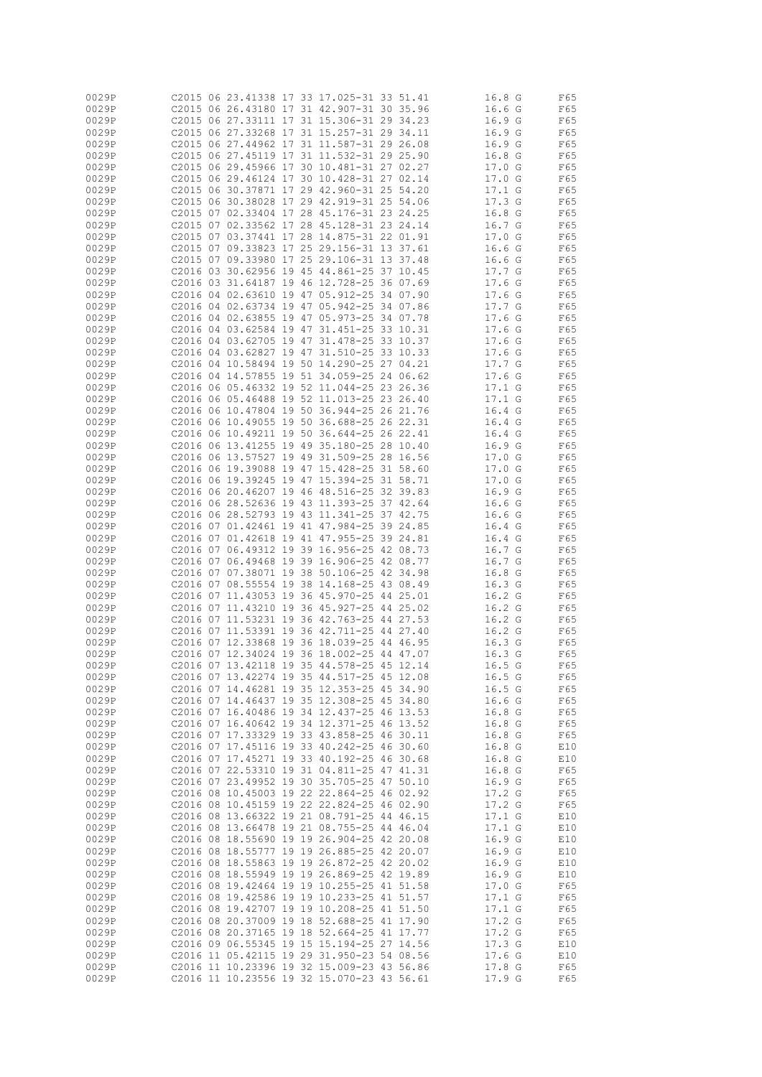| 0029P |          |                         |  | C2015 06 23.41338 17 33 17.025-31 33 51.41 |          | 16.8 <sub>G</sub> | F65 |  |
|-------|----------|-------------------------|--|--------------------------------------------|----------|-------------------|-----|--|
| 0029P |          |                         |  | C2015 06 26.43180 17 31 42.907-31 30 35.96 |          | 16.6 <sub>G</sub> | F65 |  |
| 0029P |          |                         |  | C2015 06 27.33111 17 31 15.306-31 29 34.23 |          | 16.9 G            | F65 |  |
|       |          |                         |  |                                            |          |                   |     |  |
| 0029P |          |                         |  | C2015 06 27.33268 17 31 15.257-31 29 34.11 |          | 16.9 G            | F65 |  |
| 0029P |          |                         |  | C2015 06 27.44962 17 31 11.587-31 29 26.08 |          | 16.9 <sub>g</sub> | F65 |  |
| 0029P |          |                         |  | C2015 06 27.45119 17 31 11.532-31 29 25.90 |          | 16.8 <sub>G</sub> | F65 |  |
|       |          |                         |  |                                            |          |                   |     |  |
| 0029P |          |                         |  | C2015 06 29.45966 17 30 10.481-31 27 02.27 |          | 17.0 G            | F65 |  |
| 0029P |          |                         |  | C2015 06 29.46124 17 30 10.428-31 27 02.14 |          | 17.0 G            | F65 |  |
| 0029P |          |                         |  | C2015 06 30.37871 17 29 42.960-31 25 54.20 |          | 17.1 G            | F65 |  |
|       |          |                         |  |                                            |          |                   |     |  |
| 0029P |          |                         |  | C2015 06 30.38028 17 29 42.919-31 25 54.06 |          | 17.3 <sub>G</sub> | F65 |  |
| 0029P |          |                         |  | C2015 07 02.33404 17 28 45.176-31 23 24.25 |          | 16.8 G            | F65 |  |
| 0029P |          |                         |  | C2015 07 02.33562 17 28 45.128-31 23 24.14 |          | 16.7 G            | F65 |  |
|       |          |                         |  |                                            |          |                   |     |  |
| 0029P |          |                         |  | C2015 07 03.37441 17 28 14.875-31 22 01.91 |          | 17.0 G            | F65 |  |
| 0029P |          |                         |  | C2015 07 09.33823 17 25 29.156-31 13 37.61 |          | 16.6 <sub>G</sub> | F65 |  |
| 0029P |          |                         |  | C2015 07 09.33980 17 25 29.106-31 13 37.48 |          | 16.6 <sub>G</sub> | F65 |  |
|       |          |                         |  |                                            |          |                   |     |  |
| 0029P |          |                         |  | C2016 03 30.62956 19 45 44.861-25 37 10.45 |          | 17.7 G            | F65 |  |
| 0029P |          |                         |  | C2016 03 31.64187 19 46 12.728-25 36 07.69 |          | 17.6 <sub>G</sub> | F65 |  |
| 0029P |          |                         |  | C2016 04 02.63610 19 47 05.912-25 34 07.90 |          | 17.6 <sub>G</sub> | F65 |  |
|       |          |                         |  |                                            |          |                   |     |  |
| 0029P |          |                         |  | C2016 04 02.63734 19 47 05.942-25 34 07.86 |          | 17.7 G            | F65 |  |
| 0029P |          |                         |  | C2016 04 02.63855 19 47 05.973-25          | 34 07.78 | 17.6 <sub>G</sub> | F65 |  |
| 0029P |          |                         |  | C2016 04 03.62584 19 47 31.451-25 33 10.31 |          | 17.6 <sub>G</sub> | F65 |  |
| 0029P |          | C2016 04 03.62705 19 47 |  | 31.478-25                                  | 33 10.37 | 17.6 <sub>G</sub> | F65 |  |
|       |          |                         |  |                                            |          |                   |     |  |
| 0029P |          |                         |  | C2016 04 03.62827 19 47 31.510-25 33 10.33 |          | 17.6 <sub>G</sub> | F65 |  |
| 0029P |          |                         |  | C2016 04 10.58494 19 50 14.290-25 27 04.21 |          | 17.7 G            | F65 |  |
| 0029P |          |                         |  | C2016 04 14.57855 19 51 34.059-25 24 06.62 |          | 17.6 <sub>G</sub> | F65 |  |
|       |          |                         |  |                                            |          |                   |     |  |
| 0029P |          |                         |  | C2016 06 05.46332 19 52 11.044-25 23 26.36 |          | 17.1 G            | F65 |  |
| 0029P |          |                         |  | C2016 06 05.46488 19 52 11.013-25 23 26.40 |          | 17.1 G            | F65 |  |
| 0029P |          |                         |  | C2016 06 10.47804 19 50 36.944-25 26 21.76 |          | 16.4 G            | F65 |  |
|       |          |                         |  |                                            |          |                   |     |  |
| 0029P |          |                         |  | C2016 06 10.49055 19 50 36.688-25 26 22.31 |          | 16.4 G            | F65 |  |
| 0029P |          | C2016 06 10.49211 19 50 |  | 36.644-25 26 22.41                         |          | 16.4 G            | F65 |  |
| 0029P |          |                         |  | C2016 06 13.41255 19 49 35.180-25 28 10.40 |          | 16.9 G            | F65 |  |
|       |          |                         |  |                                            |          |                   |     |  |
| 0029P |          |                         |  | C2016 06 13.57527 19 49 31.509-25 28 16.56 |          | 17.0 G            | F65 |  |
| 0029P |          |                         |  | C2016 06 19.39088 19 47 15.428-25 31 58.60 |          | 17.0 G            | F65 |  |
| 0029P |          |                         |  | C2016 06 19.39245 19 47 15.394-25 31 58.71 |          | 17.0 G            | F65 |  |
| 0029P |          |                         |  | C2016 06 20.46207 19 46 48.516-25 32 39.83 |          | 16.9G             | F65 |  |
|       |          |                         |  |                                            |          |                   |     |  |
| 0029P |          |                         |  | C2016 06 28.52636 19 43 11.393-25 37 42.64 |          | 16.6 <sub>G</sub> | F65 |  |
| 0029P |          |                         |  | C2016 06 28.52793 19 43 11.341-25 37 42.75 |          | 16.6 <sub>G</sub> | F65 |  |
| 0029P |          |                         |  | C2016 07 01.42461 19 41 47.984-25 39 24.85 |          | 16.4 G            | F65 |  |
|       |          |                         |  |                                            |          |                   |     |  |
| 0029P |          |                         |  | C2016 07 01.42618 19 41 47.955-25 39 24.81 |          | 16.4 <sub>G</sub> | F65 |  |
| 0029P |          |                         |  | C2016 07 06.49312 19 39 16.956-25 42 08.73 |          | 16.7 G            | F65 |  |
| 0029P | C2016 07 |                         |  | 06.49468 19 39 16.906-25 42 08.77          |          | 16.7 <sub>G</sub> | F65 |  |
|       |          |                         |  |                                            |          |                   |     |  |
| 0029P |          |                         |  | C2016 07 07.38071 19 38 50.106-25 42 34.98 |          | 16.8<br>G         | F65 |  |
| 0029P |          |                         |  | C2016 07 08.55554 19 38 14.168-25 43 08.49 |          | 16.3 <sub>G</sub> | F65 |  |
| 0029P |          |                         |  | C2016 07 11.43053 19 36 45.970-25 44 25.01 |          | 16.2 <sub>G</sub> | F65 |  |
| 0029P |          |                         |  | C2016 07 11.43210 19 36 45.927-25 44 25.02 |          | 16.2 <sub>G</sub> | F65 |  |
|       |          |                         |  |                                            |          |                   |     |  |
| 0029P |          |                         |  | C2016 07 11.53231 19 36 42.763-25 44 27.53 |          | 16.2 <sub>G</sub> | F65 |  |
| 0029P |          |                         |  | C2016 07 11.53391 19 36 42.711-25 44 27.40 |          | 16.2 <sub>G</sub> | F65 |  |
| 0029P |          |                         |  | C2016 07 12.33868 19 36 18.039-25 44 46.95 |          | 16.3 <sub>G</sub> | F65 |  |
|       |          |                         |  |                                            |          |                   |     |  |
| 0029P |          |                         |  | C2016 07 12.34024 19 36 18.002-25 44 47.07 |          | 16.3 <sub>G</sub> | F65 |  |
| 0029P |          |                         |  | C2016 07 13.42118 19 35 44.578-25 45 12.14 |          | 16.5 G            | F65 |  |
| 0029P |          |                         |  | C2016 07 13.42274 19 35 44.517-25 45 12.08 |          | 16.5G             | F65 |  |
| 0029P |          |                         |  | C2016 07 14.46281 19 35 12.353-25 45 34.90 |          | 16.5G             |     |  |
|       |          |                         |  |                                            |          |                   | F65 |  |
| 0029P |          |                         |  | C2016 07 14.46437 19 35 12.308-25 45 34.80 |          | 16.6 <sub>G</sub> | F65 |  |
| 0029P |          |                         |  | C2016 07 16.40486 19 34 12.437-25 46 13.53 |          | 16.8 G            | F65 |  |
| 0029P |          |                         |  | C2016 07 16.40642 19 34 12.371-25 46 13.52 |          | 16.8 G            | F65 |  |
|       |          |                         |  |                                            |          |                   |     |  |
| 0029P |          |                         |  | C2016 07 17.33329 19 33 43.858-25 46 30.11 |          | 16.8 G            | F65 |  |
| 0029P |          |                         |  | C2016 07 17.45116 19 33 40.242-25 46 30.60 |          | 16.8 G            | E10 |  |
| 0029P |          |                         |  | C2016 07 17.45271 19 33 40.192-25 46 30.68 |          | 16.8 <sub>G</sub> | E10 |  |
| 0029P |          |                         |  | C2016 07 22.53310 19 31 04.811-25 47 41.31 |          | 16.8 <sub>G</sub> | F65 |  |
|       |          |                         |  |                                            |          |                   |     |  |
| 0029P |          |                         |  | C2016 07 23.49952 19 30 35.705-25 47 50.10 |          | 16.9 <sub>G</sub> | F65 |  |
| 0029P |          |                         |  | C2016 08 10.45003 19 22 22.864-25 46 02.92 |          | 17.2 G            | F65 |  |
| 0029P |          |                         |  | C2016 08 10.45159 19 22 22.824-25 46 02.90 |          | 17.2 <sub>G</sub> | F65 |  |
| 0029P |          |                         |  | C2016 08 13.66322 19 21 08.791-25 44 46.15 |          | 17.1 G            | E10 |  |
|       |          |                         |  |                                            |          |                   |     |  |
| 0029P |          |                         |  | C2016 08 13.66478 19 21 08.755-25 44 46.04 |          | 17.1 G            | E10 |  |
| 0029P |          |                         |  | C2016 08 18.55690 19 19 26.904-25 42 20.08 |          | 16.9 G            | E10 |  |
| 0029P |          |                         |  | C2016 08 18.55777 19 19 26.885-25 42 20.07 |          | 16.9 G            | E10 |  |
|       |          |                         |  |                                            |          |                   |     |  |
| 0029P |          |                         |  | C2016 08 18.55863 19 19 26.872-25 42 20.02 |          | 16.9 G            | E10 |  |
| 0029P |          |                         |  | C2016 08 18.55949 19 19 26.869-25 42 19.89 |          | 16.9 G            | E10 |  |
| 0029P |          |                         |  | C2016 08 19.42464 19 19 10.255-25 41 51.58 |          | 17.0 G            | F65 |  |
| 0029P |          |                         |  | C2016 08 19.42586 19 19 10.233-25 41 51.57 |          | 17.1 G            | F65 |  |
|       |          |                         |  |                                            |          |                   |     |  |
| 0029P |          |                         |  | C2016 08 19.42707 19 19 10.208-25 41 51.50 |          | 17.1 G            | F65 |  |
| 0029P |          |                         |  | C2016 08 20.37009 19 18 52.688-25 41 17.90 |          | 17.2 G            | F65 |  |
| 0029P |          |                         |  | C2016 08 20.37165 19 18 52.664-25 41 17.77 |          | 17.2 G            | F65 |  |
| 0029P |          |                         |  | C2016 09 06.55345 19 15 15.194-25 27 14.56 |          | 17.3 G            | E10 |  |
|       |          |                         |  |                                            |          |                   |     |  |
| 0029P |          |                         |  | C2016 11 05.42115 19 29 31.950-23 54 08.56 |          | 17.6 G            | E10 |  |
| 0029P |          |                         |  | C2016 11 10.23396 19 32 15.009-23 43 56.86 |          | 17.8 G            | F65 |  |
| 0029P |          |                         |  | C2016 11 10.23556 19 32 15.070-23 43 56.61 |          | 17.9 G            | F65 |  |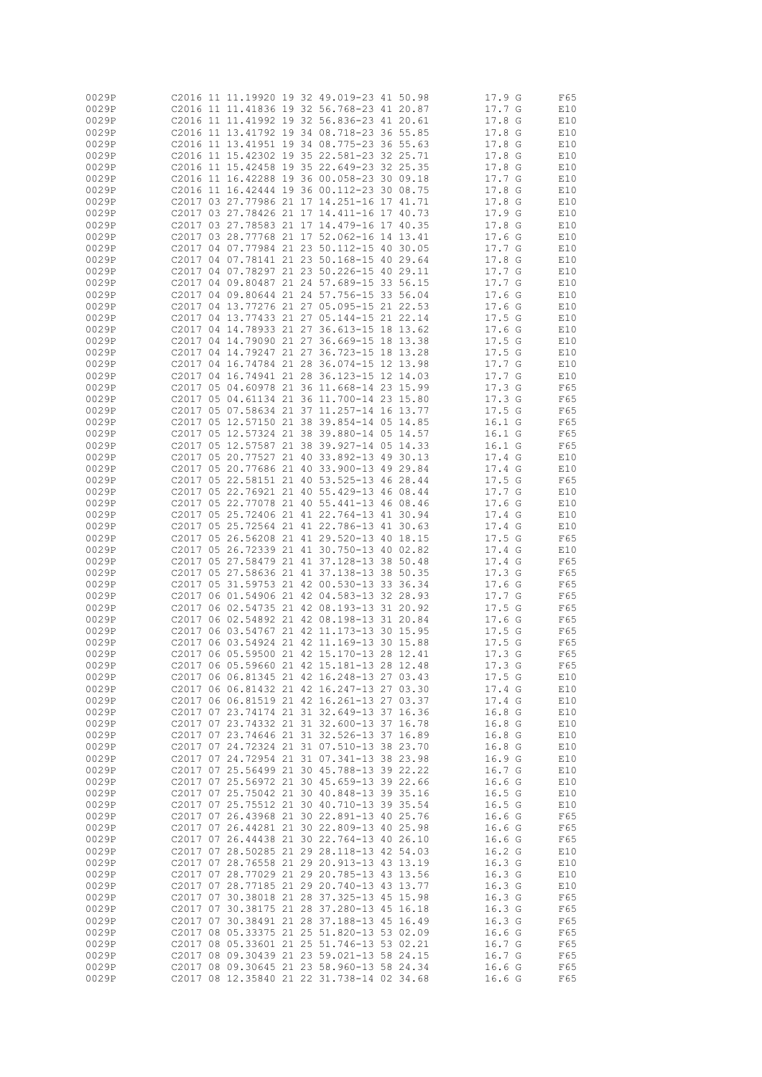| 0029P |                   |                         |  | C2016 11 11.19920 19 32 49.019-23 41 50.98 |    |          | 17.9 G            | F65 |
|-------|-------------------|-------------------------|--|--------------------------------------------|----|----------|-------------------|-----|
| 0029P |                   |                         |  | C2016 11 11.41836 19 32 56.768-23 41 20.87 |    |          | 17.7G             | E10 |
| 0029P |                   |                         |  | C2016 11 11.41992 19 32 56.836-23 41 20.61 |    |          | 17.8<br>G         | E10 |
|       |                   |                         |  |                                            |    |          |                   |     |
| 0029P |                   |                         |  | C2016 11 13.41792 19 34 08.718-23 36 55.85 |    |          | 17.8 G            | E10 |
| 0029P |                   |                         |  | C2016 11 13.41951 19 34 08.775-23 36 55.63 |    |          | 17.8 <sub>G</sub> | E10 |
| 0029P |                   |                         |  | C2016 11 15.42302 19 35 22.581-23 32 25.71 |    |          | 17.8 G            | E10 |
|       |                   |                         |  |                                            |    |          |                   |     |
| 0029P |                   |                         |  | C2016 11 15.42458 19 35 22.649-23 32 25.35 |    |          | 17.8 <sub>G</sub> | E10 |
| 0029P |                   |                         |  | C2016 11 16.42288 19 36 00.058-23          |    | 30 09.18 | 17.7 G            | E10 |
| 0029P |                   |                         |  | 02016 11 16.42444 19 36 00.112-23 30 08.75 |    |          | 17.8 <sub>G</sub> | E10 |
|       |                   |                         |  |                                            |    |          |                   |     |
| 0029P |                   |                         |  | C2017 03 27.77986 21 17 14.251-16 17 41.71 |    |          | 17.8 <sub>G</sub> | E10 |
| 0029P |                   |                         |  | 02017 03 27.78426 21 17 14.411-16 17 40.73 |    |          | 17.9 <sub>G</sub> | E10 |
| 0029P |                   |                         |  | C2017 03 27.78583 21 17 14.479-16 17 40.35 |    |          | 17.8 <sub>G</sub> | E10 |
|       |                   |                         |  |                                            |    |          |                   |     |
| 0029P |                   |                         |  | C2017 03 28.77768 21 17 52.062-16 14 13.41 |    |          | 17.6 <sub>G</sub> | E10 |
| 0029P |                   |                         |  | C2017 04 07.77984 21 23 50.112-15          | 40 | 30.05    | 17.7G             | E10 |
| 0029P |                   |                         |  | C2017 04 07.78141 21 23 50.168-15 40 29.64 |    |          | 17.8 G            | E10 |
|       |                   |                         |  | C2017 04 07.78297 21 23 50.226-15 40 29.11 |    |          |                   |     |
| 0029P |                   |                         |  |                                            |    |          | 17.7 G            | E10 |
| 0029P |                   |                         |  | C2017 04 09.80487 21 24 57.689-15 33 56.15 |    |          | 17.7 G            | E10 |
| 0029P |                   |                         |  | C2017 04 09.80644 21 24 57.756-15 33 56.04 |    |          | 17.6 G            | E10 |
|       |                   |                         |  |                                            |    |          |                   |     |
| 0029P |                   |                         |  | C2017 04 13.77276 21 27 05.095-15 21 22.53 |    |          | 17.6 G            | E10 |
| 0029P | C2017 04          |                         |  | 13.77433 21 27 05.144-15 21 22.14          |    |          | 17.5G             | E10 |
| 0029P |                   |                         |  | C2017 04 14.78933 21 27 36.613-15 18 13.62 |    |          | 17.6 <sub>G</sub> | E10 |
| 0029P |                   | C2017 04 14.79090 21 27 |  | 36.669-15 18 13.38                         |    |          | 17.5G             | E10 |
|       |                   |                         |  |                                            |    |          |                   |     |
| 0029P |                   |                         |  | C2017 04 14.79247 21 27 36.723-15 18 13.28 |    |          | 17.5 G            | E10 |
| 0029P | C <sub>2017</sub> | 04 16.74784 21 28       |  | 36.074-15 12 13.98                         |    |          | 17.7 G            | E10 |
| 0029P |                   |                         |  | C2017 04 16.74941 21 28 36.123-15 12 14.03 |    |          | 17.7 G            | E10 |
|       |                   |                         |  |                                            |    |          |                   |     |
| 0029P |                   |                         |  | C2017 05 04.60978 21 36 11.668-14 23 15.99 |    |          | 17.3 G            | F65 |
| 0029P |                   |                         |  | C2017 05 04.61134 21 36 11.700-14 23 15.80 |    |          | 17.3 <sub>G</sub> | F65 |
| 0029P | C2017             |                         |  | 05 07.58634 21 37 11.257-14 16 13.77       |    |          | 17.5G             | F65 |
|       |                   |                         |  |                                            |    |          |                   |     |
| 0029P |                   |                         |  | C2017 05 12.57150 21 38 39.854-14 05 14.85 |    |          | 16.1 <sub>G</sub> | F65 |
| 0029P | C2017             |                         |  | 05 12.57324 21 38 39.880-14 05 14.57       |    |          | 16.1 <sub>G</sub> | F65 |
| 0029P |                   |                         |  | C2017 05 12.57587 21 38 39.927-14 05 14.33 |    |          | 16.1 <sub>G</sub> | F65 |
|       |                   |                         |  |                                            |    |          |                   |     |
| 0029P | C2017             |                         |  | 05 20.77527 21 40 33.892-13 49 30.13       |    |          | 17.4 G            | E10 |
| 0029P |                   |                         |  | C2017 05 20.77686 21 40 33.900-13 49 29.84 |    |          | 17.4 G            | E10 |
| 0029P |                   |                         |  | C2017 05 22.58151 21 40 53.525-13 46 28.44 |    |          | 17.5G             | F65 |
| 0029P |                   |                         |  | C2017 05 22.76921 21 40 55.429-13 46 08.44 |    |          | 17.7 G            | E10 |
|       |                   |                         |  |                                            |    |          |                   |     |
| 0029P | C <sub>2017</sub> |                         |  | 05 22,77078 21 40 55,441-13 46 08.46       |    |          | 17.6 <sub>G</sub> | E10 |
| 0029P |                   |                         |  | C2017 05 25.72406 21 41 22.764-13 41 30.94 |    |          | 17.4 G            | E10 |
| 0029P |                   |                         |  | C2017 05 25.72564 21 41 22.786-13 41 30.63 |    |          | 17.4 G            | E10 |
|       |                   |                         |  |                                            |    |          |                   |     |
| 0029P |                   |                         |  | C2017 05 26.56208 21 41 29.520-13 40 18.15 |    |          | 17.5G             | F65 |
| 0029P |                   |                         |  | C2017 05 26.72339 21 41 30.750-13 40 02.82 |    |          | 17.4 G            | E10 |
| 0029P |                   |                         |  | C2017 05 27.58479 21 41 37.128-13 38 50.48 |    |          | 17.4 G            | F65 |
|       |                   |                         |  |                                            |    |          |                   |     |
| 0029P |                   |                         |  | C2017 05 27.58636 21 41 37.138-13 38 50.35 |    |          | 17.3 <sub>G</sub> | F65 |
| 0029P |                   |                         |  | C2017 05 31.59753 21 42 00.530-13 33 36.34 |    |          | 17.6 <sub>G</sub> | F65 |
| 0029P |                   |                         |  | C2017 06 01.54906 21 42 04.583-13 32 28.93 |    |          | 17.7 G            | F65 |
|       |                   |                         |  |                                            |    |          |                   |     |
| 0029P |                   |                         |  | C2017 06 02.54735 21 42 08.193-13 31 20.92 |    |          | 17.5G             | F65 |
| 0029P |                   |                         |  | C2017 06 02.54892 21 42 08.198-13 31 20.84 |    |          | 17.6 <sub>G</sub> | F65 |
| 0029P |                   |                         |  | C2017 06 03.54767 21 42 11.173-13 30 15.95 |    |          | 17.5G             | F65 |
| 0029P |                   |                         |  |                                            |    |          |                   |     |
|       |                   |                         |  | C2017 06 03.54924 21 42 11.169-13 30 15.88 |    |          | 17.5G             | F65 |
| 0029P |                   |                         |  | C2017 06 05.59500 21 42 15.170-13 28 12.41 |    |          | 17.3 G            | F65 |
| 0029P |                   |                         |  | C2017 06 05.59660 21 42 15.181-13 28 12.48 |    |          | 17.3 G            | F65 |
| 0029P |                   |                         |  | C2017 06 06.81345 21 42 16.248-13 27 03.43 |    |          | 17.5G             | E10 |
|       |                   |                         |  |                                            |    |          |                   |     |
| 0029P |                   |                         |  | C2017 06 06.81432 21 42 16.247-13 27 03.30 |    |          | 17.4 G            | E10 |
| 0029P |                   |                         |  | C2017 06 06.81519 21 42 16.261-13 27 03.37 |    |          | 17.4 G            | E10 |
| 0029P |                   |                         |  | C2017 07 23.74174 21 31 32.649-13 37 16.36 |    |          | 16.8 <sub>G</sub> | E10 |
|       |                   |                         |  | C2017 07 23.74332 21 31 32.600-13 37 16.78 |    |          |                   |     |
| 0029P |                   |                         |  |                                            |    |          | 16.8 <sub>G</sub> | E10 |
| 0029P |                   |                         |  | C2017 07 23.74646 21 31 32.526-13 37 16.89 |    |          | 16.8 <sub>G</sub> | E10 |
| 0029P |                   |                         |  | C2017 07 24.72324 21 31 07.510-13 38 23.70 |    |          | 16.8 <sub>G</sub> | E10 |
| 0029P |                   |                         |  | C2017 07 24.72954 21 31 07.341-13 38 23.98 |    |          | 16.9 G            | E10 |
|       |                   |                         |  |                                            |    |          |                   |     |
| 0029P |                   |                         |  | C2017 07 25.56499 21 30 45.788-13 39 22.22 |    |          | 16.7 G            | E10 |
| 0029P |                   |                         |  | C2017 07 25.56972 21 30 45.659-13 39 22.66 |    |          | 16.6G             | E10 |
| 0029P |                   |                         |  | C2017 07 25.75042 21 30 40.848-13 39 35.16 |    |          | 16.5 G            | E10 |
|       |                   |                         |  |                                            |    |          |                   |     |
| 0029P |                   |                         |  | C2017 07 25.75512 21 30 40.710-13 39 35.54 |    |          | 16.5G             | E10 |
| 0029P |                   |                         |  | C2017 07 26.43968 21 30 22.891-13 40 25.76 |    |          | 16.6G             | F65 |
| 0029P |                   |                         |  | C2017 07 26.44281 21 30 22.809-13 40 25.98 |    |          | 16.6G             | F65 |
|       |                   |                         |  | C2017 07 26.44438 21 30 22.764-13 40 26.10 |    |          | 16.6G             |     |
| 0029P |                   |                         |  |                                            |    |          |                   | F65 |
| 0029P |                   |                         |  | C2017 07 28.50285 21 29 28.118-13 42 54.03 |    |          | 16.2 G            | E10 |
| 0029P |                   |                         |  | C2017 07 28.76558 21 29 20.913-13 43 13.19 |    |          | 16.3 <sub>G</sub> | E10 |
| 0029P |                   |                         |  | C2017 07 28.77029 21 29 20.785-13 43 13.56 |    |          | 16.3 <sub>G</sub> | E10 |
|       |                   |                         |  |                                            |    |          |                   |     |
| 0029P |                   |                         |  | C2017 07 28.77185 21 29 20.740-13 43 13.77 |    |          | 16.3 <sub>G</sub> | E10 |
| 0029P |                   |                         |  | C2017 07 30.38018 21 28 37.325-13 45 15.98 |    |          | 16.3 <sub>G</sub> | F65 |
| 0029P |                   |                         |  | C2017 07 30.38175 21 28 37.280-13 45 16.18 |    |          | 16.3 <sub>G</sub> | F65 |
|       |                   |                         |  |                                            |    |          |                   |     |
| 0029P |                   |                         |  | C2017 07 30.38491 21 28 37.188-13 45 16.49 |    |          | 16.3 <sub>G</sub> | F65 |
| 0029P |                   |                         |  | C2017 08 05.33375 21 25 51.820-13 53 02.09 |    |          | 16.6 <sub>G</sub> | F65 |
| 0029P |                   |                         |  | C2017 08 05.33601 21 25 51.746-13 53 02.21 |    |          | 16.7 G            | F65 |
| 0029P |                   |                         |  | C2017 08 09.30439 21 23 59.021-13 58 24.15 |    |          | 16.7 G            | F65 |
|       |                   |                         |  |                                            |    |          |                   |     |
| 0029P |                   |                         |  | C2017 08 09.30645 21 23 58.960-13 58 24.34 |    |          | 16.6 <sub>G</sub> | F65 |
| 0029P |                   |                         |  | C2017 08 12.35840 21 22 31.738-14 02 34.68 |    |          | 16.6 <sub>G</sub> | F65 |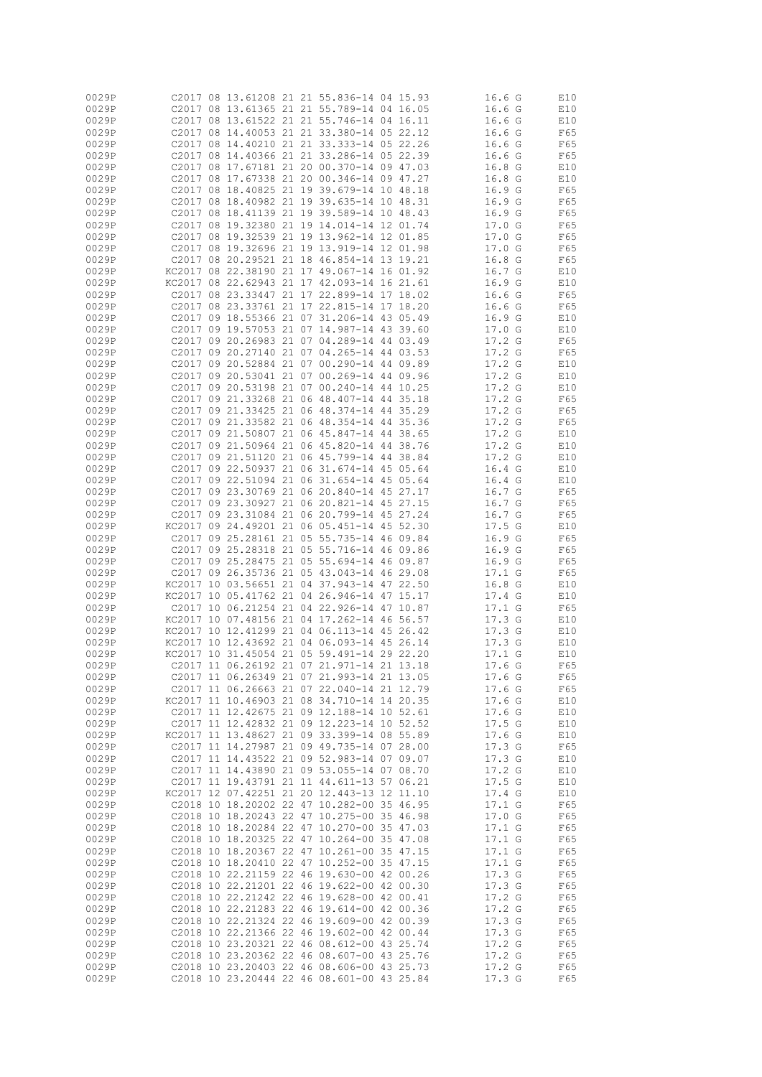| 0029P          |        |                                            |  | C2017 08 13.61208 21 21 55.836-14 04 15.93                                               |          | 16.6 <sub>G</sub> | E10        |
|----------------|--------|--------------------------------------------|--|------------------------------------------------------------------------------------------|----------|-------------------|------------|
|                |        |                                            |  |                                                                                          |          |                   |            |
| 0029P          |        |                                            |  | C2017 08 13.61365 21 21 55.789-14 04 16.05                                               |          | 16.6 <sub>G</sub> | E10        |
| 0029P          |        |                                            |  | C2017 08 13.61522 21 21 55.746-14 04 16.11                                               |          | 16.6 <sub>G</sub> | E10        |
| 0029P          |        |                                            |  | C2017 08 14.40053 21 21 33.380-14 05 22.12                                               |          | 16.6 <sub>G</sub> | F65        |
| 0029P          |        |                                            |  | C2017 08 14.40210 21 21 33.333-14 05 22.26                                               |          | 16.6 <sub>G</sub> | F65        |
| 0029P          |        |                                            |  | C2017 08 14.40366 21 21 33.286-14 05 22.39                                               |          | 16.6 <sub>G</sub> | F65        |
|                |        |                                            |  |                                                                                          |          |                   |            |
| 0029P          |        |                                            |  | C2017 08 17.67181 21 20 00.370-14 09 47.03                                               |          | 16.8 <sub>G</sub> | E10        |
| 0029P          |        |                                            |  | C2017 08 17.67338 21 20 00.346-14 09 47.27                                               |          | 16.8 G            | E10        |
| 0029P          |        |                                            |  | C2017 08 18.40825 21 19 39.679-14 10 48.18                                               |          | 16.9 G            | F65        |
| 0029P          |        |                                            |  | C2017 08 18.40982 21 19 39.635-14 10 48.31                                               |          | 16.9 G            | F65        |
| 0029P          |        |                                            |  | C2017 08 18.41139 21 19 39.589-14 10 48.43                                               |          | 16.9 G            | F65        |
|                |        |                                            |  |                                                                                          |          |                   |            |
| 0029P          |        |                                            |  | C2017 08 19.32380 21 19 14.014-14 12 01.74                                               |          | 17.0 G            | F65        |
| 0029P          |        |                                            |  | C2017 08 19.32539 21 19 13.962-14 12 01.85                                               |          | 17.0 G            | F65        |
| 0029P          |        |                                            |  | C2017 08 19.32696 21 19 13.919-14 12 01.98                                               |          | 17.0 G            | F65        |
| 0029P          |        |                                            |  | C2017 08 20.29521 21 18 46.854-14 13 19.21                                               |          | 16.8 <sub>G</sub> | F65        |
| 0029P          |        |                                            |  | KC2017 08 22.38190 21 17 49.067-14 16 01.92                                              |          | 16.7 G            | E10        |
|                |        |                                            |  |                                                                                          |          |                   |            |
| 0029P          |        |                                            |  | KC2017 08 22.62943 21 17 42.093-14 16 21.61                                              |          | 16.9 <sub>G</sub> | E10        |
| 0029P          |        |                                            |  | C2017 08 23.33447 21 17 22.899-14 17 18.02                                               |          | 16.6 <sub>G</sub> | F65        |
| 0029P          |        |                                            |  | C2017 08 23.33761 21 17 22.815-14 17 18.20                                               |          | 16.6 <sub>G</sub> | F65        |
| 0029P          |        |                                            |  | C2017 09 18.55366 21 07 31.206-14 43 05.49                                               |          | 16.9 G            | E10        |
|                |        |                                            |  |                                                                                          |          |                   |            |
| 0029P          |        |                                            |  | C2017 09 19.57053 21 07 14.987-14 43 39.60                                               |          | 17.0 G            | E10        |
| 0029P          |        |                                            |  | C2017 09 20.26983 21 07 04.289-14 44 03.49                                               |          | 17.2 G            | F65        |
| 0029P          |        |                                            |  | C2017 09 20.27140 21 07 04.265-14 44 03.53                                               |          | 17.2 <sub>G</sub> | F65        |
| 0029P          |        |                                            |  | C2017 09 20.52884 21 07 00.290-14 44 09.89                                               |          | 17.2 G            | E10        |
| 0029P          |        |                                            |  | C2017 09 20.53041 21 07 00.269-14 44 09.96                                               |          | 17.2 <sub>G</sub> | E10        |
|                |        |                                            |  |                                                                                          |          |                   |            |
| 0029P          |        |                                            |  | C2017 09 20.53198 21 07 00.240-14 44 10.25                                               |          | 17.2 <sub>G</sub> | E10        |
| 0029P          |        |                                            |  | C2017 09 21.33268 21 06 48.407-14 44 35.18                                               |          | 17.2 <sub>G</sub> | F65        |
| 0029P          |        |                                            |  | C2017 09 21.33425 21 06 48.374-14 44 35.29                                               |          | 17.2 <sub>G</sub> | F65        |
| 0029P          |        |                                            |  | C2017 09 21.33582 21 06 48.354-14 44 35.36                                               |          | 17.2 <sub>G</sub> | F65        |
| 0029P          |        |                                            |  | C2017 09 21.50807 21 06 45.847-14 44 38.65                                               |          | 17.2 G            | E10        |
|                |        |                                            |  |                                                                                          |          |                   |            |
| 0029P          |        |                                            |  | C2017 09 21.50964 21 06 45.820-14 44 38.76                                               |          | 17.2 <sub>G</sub> | E10        |
| 0029P          |        |                                            |  | C2017 09 21.51120 21 06 45.799-14 44 38.84                                               |          | 17.2 G            | E10        |
| 0029P          |        |                                            |  | C2017 09 22.50937 21 06 31.674-14 45 05.64                                               |          | 16.4 <sub>G</sub> | E10        |
| 0029P          |        |                                            |  | C2017 09 22.51094 21 06 31.654-14 45 05.64                                               |          | 16.4 <sub>G</sub> | E10        |
| 0029P          |        |                                            |  | C2017 09 23.30769 21 06 20.840-14 45 27.17                                               |          | 16.7 G            | F65        |
| 0029P          |        |                                            |  | C2017 09 23.30927 21 06 20.821-14 45 27.15                                               |          | 16.7 G            | F65        |
| 0029P          |        |                                            |  | C2017 09 23.31084 21 06 20.799-14 45 27.24                                               |          | 16.7 G            | F65        |
|                |        |                                            |  |                                                                                          |          |                   |            |
| 0029P          |        |                                            |  | KC2017 09 24.49201 21 06 05.451-14 45 52.30                                              |          | 17.5G             | E10        |
| 0029P          |        |                                            |  | C2017 09 25.28161 21 05 55.735-14 46 09.84                                               |          | 16.9 <sub>G</sub> | F65        |
| 0029P          |        |                                            |  | C2017 09 25.28318 21 05 55.716-14 46 09.86                                               |          | 16.9 <sub>G</sub> | F65        |
| 0029P          |        |                                            |  | C2017 09 25.28475 21 05 55.694-14 46 09.87                                               |          | 16.9 <sub>G</sub> | F65        |
| 0029P          |        |                                            |  | C2017 09 26.35736 21 05 43.043-14 46 29.08                                               |          | 17.1 G            | F65        |
| 0029P          |        |                                            |  | KC2017 10 03.56651 21 04 37.943-14 47 22.50                                              |          | 16.8 <sub>G</sub> | E10        |
| 0029P          |        |                                            |  | KC2017 10 05.41762 21 04 26.946-14 47 15.17                                              |          | 17.4 G            | E10        |
| 0029P          |        |                                            |  | C2017 10 06.21254 21 04 22.926-14 47 10.87                                               |          | 17.1 G            | F65        |
|                |        |                                            |  |                                                                                          |          |                   |            |
| 0029P          |        |                                            |  | KC2017 10 07.48156 21 04 17.262-14 46 56.57                                              |          | 17.3 G            | E10        |
| 0029P          |        |                                            |  | KC2017 10 12.41299 21 04 06.113-14 45 26.42                                              |          | 17.3 <sub>G</sub> | E10        |
| 0029P          | KC2017 |                                            |  | 10 12.43692 21 04 06.093-14                                                              | 45 26.14 | 17.3 G            | E10        |
| 0029P          |        |                                            |  | KC2017 10 31.45054 21 05 59.491-14 29 22.20                                              |          | 17.1 G            | E10        |
| 0029P          |        |                                            |  | C2017 11 06.26192 21 07 21.971-14 21 13.18                                               |          | 17.6 G            | F65        |
| 0029P          |        |                                            |  | C2017 11 06.26349 21 07 21.993-14 21 13.05                                               |          | 17.6 G            | F65        |
| 0029P          |        |                                            |  | C2017 11 06.26663 21 07 22.040-14 21 12.79                                               |          | 17.6 G            |            |
|                |        |                                            |  |                                                                                          |          |                   | F65        |
| 0029P          |        |                                            |  | KC2017 11 10.46903 21 08 34.710-14 14 20.35                                              |          | 17.6 G            | E10        |
| 0029P          |        |                                            |  | C2017 11 12.42675 21 09 12.188-14 10 52.61                                               |          | 17.6 G            | E10        |
| 0029P          |        |                                            |  | C2017 11 12.42832 21 09 12.223-14 10 52.52                                               |          | 17.5G             | E10        |
| 0029P          |        |                                            |  | KC2017 11 13.48627 21 09 33.399-14 08 55.89                                              |          | 17.6 <sub>G</sub> | E10        |
| 0029P          |        |                                            |  | C2017 11 14.27987 21 09 49.735-14 07 28.00                                               |          | 17.3 G            | F65        |
| 0029P          |        |                                            |  | C2017 11 14.43522 21 09 52.983-14 07 09.07                                               |          | 17.3 G            | E10        |
|                |        |                                            |  |                                                                                          |          |                   |            |
| 0029P          |        |                                            |  | C2017 11 14.43890 21 09 53.055-14 07 08.70                                               |          | 17.2 G            | E10        |
| 0029P          |        |                                            |  | C2017 11 19.43791 21 11 44.611-13 57 06.21                                               |          | 17.5 G            | E10        |
| 0029P          |        |                                            |  | KC2017 12 07.42251 21 20 12.443-13 12 11.10                                              |          | 17.4 G            | E10        |
| 0029P          |        |                                            |  | C2018 10 18.20202 22 47 10.282-00 35 46.95                                               |          | 17.1 G            | F65        |
| 0029P          |        |                                            |  | C2018 10 18.20243 22 47 10.275-00 35 46.98                                               |          | 17.0 G            | F65        |
| 0029P          |        |                                            |  | C2018 10 18.20284 22 47 10.270-00 35 47.03                                               |          | 17.1 G            | F65        |
| 0029P          |        |                                            |  | C2018 10 18.20325 22 47 10.264-00 35 47.08                                               |          | 17.1 G            | F65        |
|                |        |                                            |  |                                                                                          |          |                   |            |
| 0029P          |        |                                            |  | C2018 10 18.20367 22 47 10.261-00 35 47.15                                               |          | 17.1 G            | F65        |
| 0029P          |        |                                            |  | C2018 10 18.20410 22 47 10.252-00 35 47.15                                               |          | 17.1 G            | F65        |
| 0029P          |        |                                            |  | C2018 10 22.21159 22 46 19.630-00 42 00.26                                               |          | 17.3 <sub>G</sub> | F65        |
| 0029P          |        |                                            |  | C2018 10 22.21201 22 46 19.622-00 42 00.30                                               |          | 17.3 <sub>G</sub> | F65        |
| 0029P          |        |                                            |  | C2018 10 22.21242 22 46 19.628-00 42 00.41                                               |          | 17.2 G            | F65        |
|                |        |                                            |  |                                                                                          |          |                   |            |
|                |        |                                            |  |                                                                                          |          |                   |            |
| 0029P          |        | C2018 10 22.21283 22 46 19.614-00 42 00.36 |  |                                                                                          |          | 17.2 G            | F65        |
| 0029P          |        |                                            |  | C2018 10 22.21324 22 46 19.609-00 42 00.39                                               |          | 17.3 <sub>G</sub> | F65        |
| 0029P          |        |                                            |  | C2018 10 22.21366 22 46 19.602-00 42 00.44                                               |          | 17.3 <sub>G</sub> | F65        |
| 0029P          |        |                                            |  | C2018 10 23.20321 22 46 08.612-00 43 25.74                                               |          | 17.2 <sub>G</sub> | F65        |
| 0029P          |        |                                            |  | C2018 10 23.20362 22 46 08.607-00 43 25.76                                               |          | 17.2 G            | F65        |
| 0029P<br>0029P |        |                                            |  | C2018 10 23.20403 22 46 08.606-00 43 25.73<br>C2018 10 23.20444 22 46 08.601-00 43 25.84 |          | 17.2 G<br>17.3 G  | F65<br>F65 |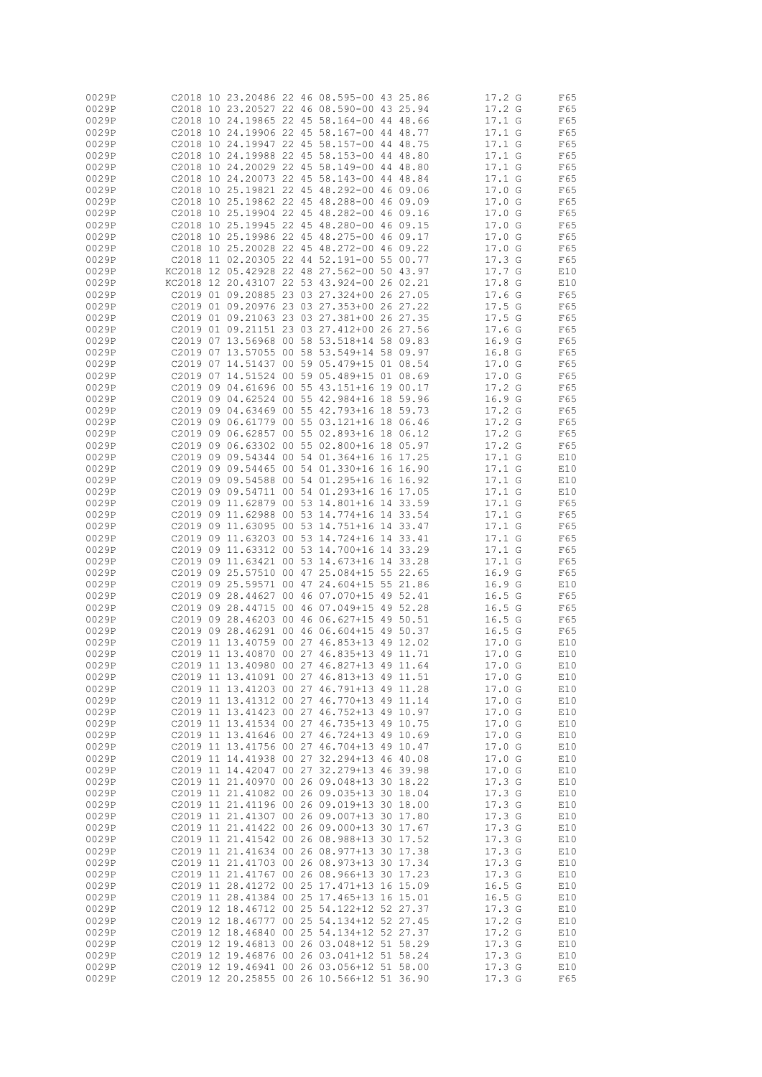| 0029P |                   |    |                         |  | C2018 10 23.20486 22 46 08.595-00 43 25.86  |       | 17.2 G            | F65 |
|-------|-------------------|----|-------------------------|--|---------------------------------------------|-------|-------------------|-----|
| 0029P |                   |    |                         |  | C2018 10 23.20527 22 46 08.590-00 43 25.94  |       | 17.2 <sub>G</sub> | F65 |
| 0029P |                   |    |                         |  | C2018 10 24.19865 22 45 58.164-00 44        | 48.66 | 17.1 G            | F65 |
| 0029P |                   |    |                         |  | C2018 10 24.19906 22 45 58.167-00 44        | 48.77 | 17.1 G            | F65 |
|       |                   |    |                         |  |                                             |       |                   |     |
| 0029P |                   |    |                         |  | C2018 10 24.19947 22 45 58.157-00 44        | 48.75 | 17.1 G            | F65 |
| 0029P |                   |    | C2018 10 24.19988 22 45 |  | 58.153-00 44 48.80                          |       | 17.1 <sub>G</sub> | F65 |
| 0029P |                   |    |                         |  | C2018 10 24.20029 22 45 58.149-00 44        | 48.80 | 17.1 G            | F65 |
| 0029P |                   |    |                         |  | C2018 10 24.20073 22 45 58.143-00 44 48.84  |       | 17.1 G            | F65 |
|       |                   |    |                         |  |                                             |       |                   |     |
| 0029P |                   |    |                         |  | C2018 10 25.19821 22 45 48.292-00 46 09.06  |       | 17.0 G            | F65 |
| 0029P |                   |    |                         |  | C2018 10 25.19862 22 45 48.288-00 46 09.09  |       | 17.0 G            | F65 |
| 0029P |                   |    |                         |  | C2018 10 25.19904 22 45 48.282-00 46 09.16  |       | 17.0 G            | F65 |
| 0029P |                   |    |                         |  | C2018 10 25.19945 22 45 48.280-00 46 09.15  |       | 17.0 G            | F65 |
|       |                   |    |                         |  |                                             |       |                   |     |
| 0029P |                   |    |                         |  | C2018 10 25.19986 22 45 48.275-00 46 09.17  |       | 17.0 G            | F65 |
| 0029P |                   |    |                         |  | C2018 10 25.20028 22 45 48.272-00 46 09.22  |       | 17.0 G            | F65 |
| 0029P |                   |    |                         |  | C2018 11 02.20305 22 44 52.191-00 55 00.77  |       | 17.3 <sub>G</sub> | F65 |
| 0029P |                   |    |                         |  | KC2018 12 05.42928 22 48 27.562-00 50 43.97 |       | 17.7 G            | E10 |
|       |                   |    |                         |  |                                             |       |                   |     |
| 0029P |                   |    |                         |  | KC2018 12 20.43107 22 53 43.924-00 26 02.21 |       | 17.8 <sub>G</sub> | E10 |
| 0029P |                   |    |                         |  | C2019 01 09.20885 23 03 27.324+00 26 27.05  |       | 17.6 <sub>G</sub> | F65 |
| 0029P |                   |    |                         |  | C2019 01 09.20976 23 03 27.353+00 26 27.22  |       | 17.5 G            | F65 |
| 0029P |                   |    |                         |  | C2019 01 09.21063 23 03 27.381+00 26 27.35  |       | 17.5 G            | F65 |
|       |                   |    |                         |  |                                             |       |                   |     |
| 0029P |                   |    |                         |  | C2019 01 09.21151 23 03 27.412+00 26 27.56  |       | 17.6 G            | F65 |
| 0029P |                   |    | C2019 07 13.56968 00 58 |  | 53.518+14 58 09.83                          |       | 16.9 <sub>G</sub> | F65 |
| 0029P |                   |    | C2019 07 13.57055 00 58 |  | 53.549+14 58 09.97                          |       | 16.8 <sub>G</sub> | F65 |
| 0029P | C <sub>2019</sub> | 07 |                         |  | 14.51437 00 59 05.479+15 01 08.54           |       | 17.0 G            | F65 |
|       |                   |    |                         |  |                                             |       |                   |     |
| 0029P |                   |    |                         |  | C2019 07 14.51524 00 59 05.489+15 01 08.69  |       | 17.0 G            | F65 |
| 0029P |                   |    |                         |  | C2019 09 04.61696 00 55 43.151+16 19 00.17  |       | 17.2 G            | F65 |
| 0029P |                   |    |                         |  | C2019 09 04.62524 00 55 42.984+16 18 59.96  |       | 16.9 G            | F65 |
| 0029P | C2019             |    |                         |  | 09 04.63469 00 55 42.793+16 18              | 59.73 | 17.2 <sub>G</sub> | F65 |
|       |                   |    |                         |  |                                             |       |                   |     |
| 0029P | C2019 09          |    |                         |  | 06.61779 00 55 03.121+16 18 06.46           |       | 17.2 G            | F65 |
| 0029P |                   |    |                         |  | 02019 09 06.62857 00 55 02.893+16 18 06.12  |       | 17.2 <sub>G</sub> | F65 |
| 0029P | C2019 09          |    |                         |  | 06.63302 00 55 02.800+16 18 05.97           |       | 17.2 <sub>G</sub> | F65 |
| 0029P |                   |    |                         |  | C2019 09 09.54344 00 54 01.364+16 16 17.25  |       | $17.1_G$          | E10 |
|       |                   |    |                         |  |                                             |       |                   |     |
| 0029P |                   |    |                         |  | C2019 09 09.54465 00 54 01.330+16 16 16.90  |       | 17.1 G            | E10 |
| 0029P |                   |    |                         |  | C2019 09 09.54588 00 54 01.295+16 16 16.92  |       | 17.1 G            | E10 |
| 0029P |                   |    |                         |  | C2019 09 09.54711 00 54 01.293+16 16 17.05  |       | 17.1 G            | E10 |
| 0029P |                   |    |                         |  | C2019 09 11,62879 00 53 14,801+16 14 33.59  |       | 17.1 G            | F65 |
|       |                   |    |                         |  |                                             |       |                   |     |
| 0029P |                   |    |                         |  | C2019 09 11,62988 00 53 14,774+16 14 33.54  |       | 17.1 G            | F65 |
| 0029P |                   |    |                         |  | C2019 09 11,63095 00 53 14,751+16 14 33,47  |       | 17.1 G            | F65 |
| 0029P |                   |    |                         |  | 02019 09 11,63203 00 53 14,724+16 14 33.41  |       | 17.1 G            | F65 |
| 0029P |                   |    |                         |  | 02019 09 11,63312 00 53 14,700+16 14 33,29  |       | 17.1 G            | F65 |
|       |                   |    |                         |  |                                             |       |                   |     |
| 0029P | C2019 09          |    |                         |  | 11.63421 00 53 14.673+16 14 33.28           |       | 17.1 G            | F65 |
| 0029P |                   |    |                         |  | C2019 09 25.57510 00 47 25.084+15 55 22.65  |       | 16.9 <sub>G</sub> | F65 |
| 0029P |                   |    | C2019 09 25.59571 00 47 |  | 24.604+15 55 21.86                          |       | 16.9 G            | E10 |
| 0029P |                   |    | C2019 09 28.44627       |  | 00 46 07.070+15 49 52.41                    |       | 16.5G             | F65 |
|       |                   |    |                         |  |                                             |       |                   |     |
| 0029P |                   |    |                         |  | C2019 09 28.44715 00 46 07.049+15 49 52.28  |       | 16.5G             | F65 |
| 0029P |                   |    |                         |  | C2019 09 28.46203 00 46 06.627+15 49 50.51  |       | 16.5G             | F65 |
| 0029P |                   |    | C2019 09 28.46291 00 46 |  | $06.604 + 1549$                             | 50.37 | 16.5G             | F65 |
| 0029P |                   |    | C2019 11 13.40759 00 27 |  | 46.853+13 49 12.02                          |       | 17.0 G            | E10 |
|       |                   |    |                         |  |                                             |       |                   |     |
| 0029P |                   |    | C2019 11 13.40870 00 27 |  | 46.835+13 49 11.71                          |       | 17.0 G            | E10 |
| 0029P |                   |    |                         |  | C2019 11 13.40980 00 27 46.827+13 49 11.64  |       | 17.0 G            | E10 |
| 0029P |                   |    |                         |  | C2019 11 13.41091 00 27 46.813+13 49 11.51  |       | 17.0 G            | E10 |
| 0029P |                   |    |                         |  | C2019 11 13.41203 00 27 46.791+13 49 11.28  |       | 17.0 G            | E10 |
| 0029P |                   |    |                         |  | C2019 11 13.41312 00 27 46.770+13 49 11.14  |       | 17.0 G            | E10 |
|       |                   |    |                         |  |                                             |       |                   |     |
| 0029P |                   |    |                         |  | C2019 11 13.41423 00 27 46.752+13 49 10.97  |       | 17.0 G            | E10 |
| 0029P |                   |    |                         |  | C2019 11 13.41534 00 27 46.735+13 49 10.75  |       | 17.0 G            | E10 |
| 0029P |                   |    |                         |  | C2019 11 13.41646 00 27 46.724+13 49 10.69  |       | 17.0 G            | E10 |
| 0029P |                   |    |                         |  | C2019 11 13.41756 00 27 46.704+13 49 10.47  |       | 17.0 G            | E10 |
| 0029P |                   |    |                         |  | C2019 11 14.41938 00 27 32.294+13 46 40.08  |       | 17.0 G            |     |
|       |                   |    |                         |  |                                             |       |                   | E10 |
| 0029P |                   |    |                         |  | C2019 11 14.42047 00 27 32.279+13 46 39.98  |       | 17.0 G            | E10 |
| 0029P |                   |    |                         |  | C2019 11 21.40970 00 26 09.048+13 30 18.22  |       | 17.3G             | E10 |
| 0029P |                   |    |                         |  | C2019 11 21.41082 00 26 09.035+13 30 18.04  |       | 17.3 <sub>G</sub> | E10 |
| 0029P |                   |    |                         |  | C2019 11 21.41196 00 26 09.019+13 30 18.00  |       | 17.3G             | E10 |
|       |                   |    |                         |  |                                             |       |                   |     |
| 0029P |                   |    |                         |  | C2019 11 21.41307 00 26 09.007+13 30 17.80  |       | 17.3 <sub>G</sub> | E10 |
| 0029P |                   |    |                         |  | C2019 11 21,41422 00 26 09.000+13 30 17.67  |       | 17.3 G            | E10 |
| 0029P |                   |    |                         |  | C2019 11 21.41542 00 26 08.988+13 30 17.52  |       | 17.3 G            | E10 |
| 0029P |                   |    |                         |  | C2019 11 21.41634 00 26 08.977+13 30 17.38  |       | 17.3 G            | E10 |
|       |                   |    |                         |  |                                             |       |                   |     |
| 0029P |                   |    |                         |  | C2019 11 21.41703 00 26 08.973+13 30 17.34  |       | 17.3 G            | E10 |
| 0029P |                   |    |                         |  | C2019 11 21.41767 00 26 08.966+13 30 17.23  |       | 17.3 G            | E10 |
| 0029P |                   |    |                         |  | C2019 11 28.41272 00 25 17.471+13 16 15.09  |       | 16.5G             | E10 |
| 0029P |                   |    |                         |  | C2019 11 28.41384 00 25 17.465+13 16 15.01  |       | 16.5G             | E10 |
|       |                   |    |                         |  | C2019 12 18.46712 00 25 54.122+12 52 27.37  |       | 17.3 G            |     |
| 0029P |                   |    |                         |  |                                             |       |                   | E10 |
| 0029P |                   |    |                         |  | C2019 12 18.46777 00 25 54.134+12 52 27.45  |       | 17.2 G            | E10 |
| 0029P |                   |    |                         |  | C2019 12 18.46840 00 25 54.134+12 52 27.37  |       | 17.2 G            | E10 |
| 0029P |                   |    |                         |  | C2019 12 19.46813 00 26 03.048+12 51 58.29  |       | 17.3 G            | E10 |
| 0029P |                   |    |                         |  | C2019 12 19.46876 00 26 03.041+12 51 58.24  |       | 17.3 G            | E10 |
|       |                   |    |                         |  |                                             |       |                   |     |
| 0029P |                   |    |                         |  | C2019 12 19.46941 00 26 03.056+12 51 58.00  |       | 17.3 G            | E10 |
| 0029P |                   |    |                         |  | C2019 12 20.25855 00 26 10.566+12 51 36.90  |       | 17.3 <sub>G</sub> | F65 |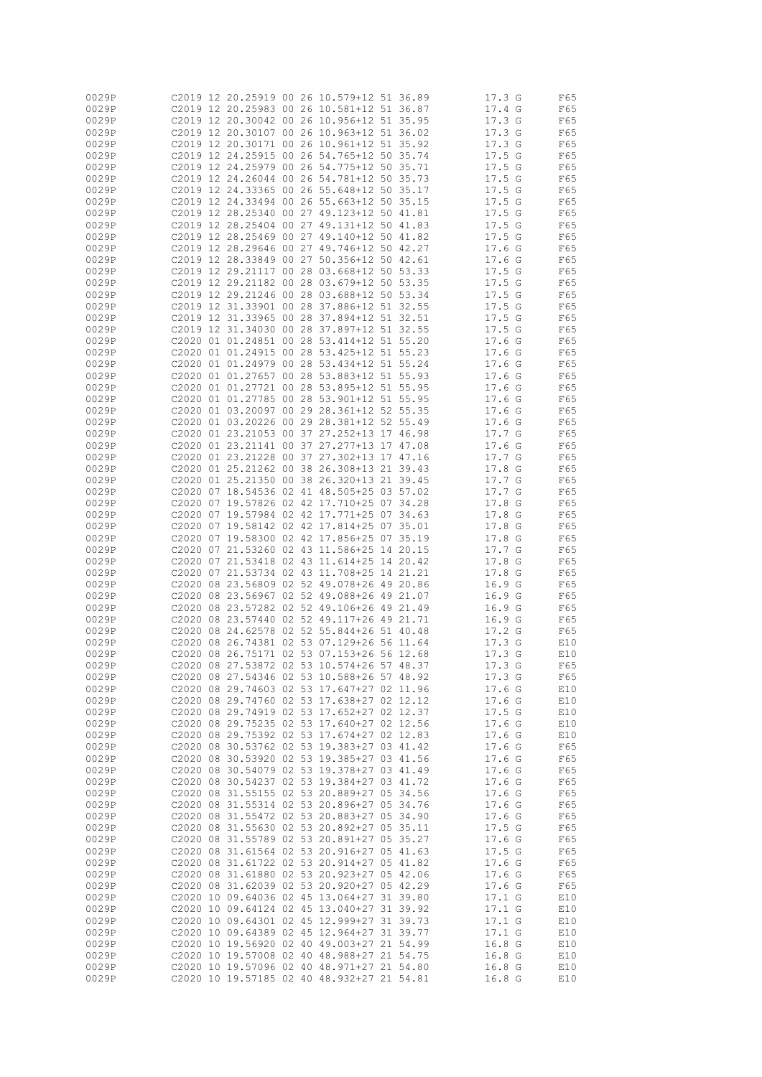| 0029P |          |                         |  | C2019 12 20.25919 00 26 10.579+12 51 36.89 |  | 17.3G             | F65 |
|-------|----------|-------------------------|--|--------------------------------------------|--|-------------------|-----|
| 0029P |          |                         |  | C2019 12 20.25983 00 26 10.581+12 51 36.87 |  | 17.4 G            |     |
|       |          |                         |  |                                            |  |                   | F65 |
| 0029P |          |                         |  | C2019 12 20.30042 00 26 10.956+12 51 35.95 |  | 17.3<br>G         | F65 |
| 0029P |          |                         |  | C2019 12 20.30107 00 26 10.963+12 51 36.02 |  | 17.3 <sub>G</sub> | F65 |
| 0029P |          |                         |  | C2019 12 20.30171 00 26 10.961+12 51 35.92 |  | 17.3 <sub>G</sub> | F65 |
| 0029P |          |                         |  | C2019 12 24.25915 00 26 54.765+12 50 35.74 |  | 17.5G             | F65 |
| 0029P |          |                         |  | C2019 12 24.25979 00 26 54.775+12 50 35.71 |  | 17.5G             | F65 |
| 0029P |          |                         |  | C2019 12 24.26044 00 26 54.781+12 50 35.73 |  | 17.5G             | F65 |
| 0029P |          |                         |  | C2019 12 24.33365 00 26 55.648+12 50 35.17 |  | 17.5G             | F65 |
| 0029P |          |                         |  | C2019 12 24.33494 00 26 55.663+12 50 35.15 |  | 17.5G             | F65 |
| 0029P |          |                         |  | C2019 12 28.25340 00 27 49.123+12 50 41.81 |  | 17.5G             | F65 |
|       |          |                         |  |                                            |  |                   |     |
| 0029P |          |                         |  | C2019 12 28.25404 00 27 49.131+12 50 41.83 |  | 17.5G             | F65 |
| 0029P |          |                         |  | C2019 12 28.25469 00 27 49.140+12 50 41.82 |  | 17.5 G            | F65 |
| 0029P |          |                         |  | C2019 12 28.29646 00 27 49.746+12 50 42.27 |  | 17.6 <sub>G</sub> | F65 |
| 0029P |          |                         |  | C2019 12 28.33849 00 27 50.356+12 50 42.61 |  | 17.6 <sub>G</sub> | F65 |
| 0029P |          |                         |  | C2019 12 29.21117 00 28 03.668+12 50 53.33 |  | 17.5G             | F65 |
| 0029P |          |                         |  | C2019 12 29.21182 00 28 03.679+12 50 53.35 |  | 17.5G             | F65 |
| 0029P |          |                         |  | C2019 12 29.21246 00 28 03.688+12 50 53.34 |  | 17.5G             | F65 |
| 0029P |          |                         |  | C2019 12 31.33901 00 28 37.886+12 51 32.55 |  | 17.5G             | F65 |
| 0029P | C2019 12 | 31.33965 00 28          |  | 37.894+12 51 32.51                         |  | 17.5G             | F65 |
| 0029P |          |                         |  | C2019 12 31.34030 00 28 37.897+12 51 32.55 |  | 17.5G             | F65 |
|       |          |                         |  |                                            |  |                   |     |
| 0029P |          |                         |  | C2020 01 01.24851 00 28 53.414+12 51 55.20 |  | 17.6 <sub>G</sub> | F65 |
| 0029P |          |                         |  | C2020 01 01.24915 00 28 53.425+12 51 55.23 |  | 17.6 <sub>G</sub> | F65 |
| 0029P |          | C2020 01 01.24979 00 28 |  | 53.434+12 51 55.24                         |  | 17.6 <sub>G</sub> | F65 |
| 0029P |          |                         |  | C2020 01 01.27657 00 28 53.883+12 51 55.93 |  | 17.6 <sub>G</sub> | F65 |
| 0029P |          | C2020 01 01.27721 00 28 |  | 53.895+12 51 55.95                         |  | 17.6 <sub>G</sub> | F65 |
| 0029P |          | C2020 01 01.27785 00 28 |  | 53.901+12 51 55.95                         |  | 17.6 <sub>g</sub> | F65 |
| 0029P |          |                         |  | C2020 01 03.20097 00 29 28.361+12 52 55.35 |  | 17.6 <sub>G</sub> | F65 |
| 0029P |          |                         |  | C2020 01 03.20226 00 29 28.381+12 52 55.49 |  | 17.6 <sub>G</sub> | F65 |
| 0029P |          | C2020 01 23.21053 00 37 |  | 27.252+13 17 46.98                         |  | 17.7G             | F65 |
|       |          |                         |  |                                            |  |                   |     |
| 0029P |          |                         |  | C2020 01 23.21141 00 37 27.277+13 17 47.08 |  | 17.6 <sub>G</sub> | F65 |
| 0029P |          | C2020 01 23.21228 00 37 |  | 27.302+13 17 47.16                         |  | 17.7G             | F65 |
| 0029P |          |                         |  | C2020 01 25,21262 00 38 26,308+13 21 39,43 |  | 17.8 G            | F65 |
| 0029P |          |                         |  | C2020 01 25.21350 00 38 26.320+13 21 39.45 |  | 17.7 G            | F65 |
| 0029P |          |                         |  | C2020 07 18.54536 02 41 48.505+25 03 57.02 |  | 17.7 G            | F65 |
| 0029P | C2020 07 |                         |  | 19.57826 02 42 17.710+25 07 34.28          |  | 17.8 G            | F65 |
| 0029P |          |                         |  | 02020 07 19.57984 02 42 17.771+25 07 34.63 |  | 17.8 G            | F65 |
| 0029P |          |                         |  | C2020 07 19.58142 02 42 17.814+25 07 35.01 |  | 17.8 G            | F65 |
| 0029P |          |                         |  | C2020 07 19.58300 02 42 17.856+25 07 35.19 |  | 17.8 G            | F65 |
| 0029P | C2020 07 |                         |  | 21,53260 02 43 11,586+25 14 20.15          |  | 17.7 G            | F65 |
| 0029P |          |                         |  | C2020 07 21.53418 02 43 11.614+25 14 20.42 |  | 17.8 <sub>G</sub> | F65 |
|       |          |                         |  |                                            |  |                   |     |
| 0029P |          |                         |  | 02020 07 21.53734 02 43 11.708+25 14 21.21 |  | 17.8 G            | F65 |
| 0029P |          |                         |  | C2020 08 23.56809 02 52 49.078+26 49 20.86 |  | 16.9 <sub>G</sub> | F65 |
| 0029P |          |                         |  | C2020 08 23.56967 02 52 49.088+26 49 21.07 |  | 16.9 <sub>G</sub> | F65 |
| 0029P |          |                         |  | C2020 08 23.57282 02 52 49.106+26 49 21.49 |  | 16.9G             | F65 |
| 0029P |          |                         |  | C2020 08 23.57440 02 52 49.117+26 49 21.71 |  | 16.9 <sub>G</sub> | F65 |
| 0029P |          |                         |  | C2020 08 24.62578 02 52 55.844+26 51 40.48 |  | 17.2 G            | F65 |
| 0029P |          |                         |  | C2020 08 26.74381 02 53 07.129+26 56 11.64 |  | 17.3G             | E10 |
| 0029P |          |                         |  | C2020 08 26.75171 02 53 07.153+26 56 12.68 |  | 17.3 <sub>G</sub> | E10 |
| 0029P |          |                         |  | C2020 08 27.53872 02 53 10.574+26 57 48.37 |  | 17.3 G            | F65 |
| 0029P |          |                         |  | C2020 08 27.54346 02 53 10.588+26 57 48.92 |  | 17.3 G            | F65 |
| 0029P |          |                         |  | C2020 08 29.74603 02 53 17.647+27 02 11.96 |  | 17.6 G            | E10 |
| 0029P |          |                         |  | C2020 08 29.74760 02 53 17.638+27 02 12.12 |  | 17.6 G            | E10 |
|       |          |                         |  | C2020 08 29.74919 02 53 17.652+27 02 12.37 |  | 17.5 G            |     |
| 0029P |          |                         |  |                                            |  |                   | E10 |
| 0029P |          |                         |  | C2020 08 29.75235 02 53 17.640+27 02 12.56 |  | 17.6 G            | E10 |
| 0029P |          |                         |  | C2020 08 29.75392 02 53 17.674+27 02 12.83 |  | 17.6 G            | E10 |
| 0029P |          |                         |  | C2020 08 30.53762 02 53 19.383+27 03 41.42 |  | 17.6 G            | F65 |
| 0029P |          |                         |  | C2020 08 30.53920 02 53 19.385+27 03 41.56 |  | 17.6 G            | F65 |
| 0029P |          |                         |  | C2020 08 30.54079 02 53 19.378+27 03 41.49 |  | 17.6 <sub>G</sub> | F65 |
| 0029P |          |                         |  | C2020 08 30.54237 02 53 19.384+27 03 41.72 |  | 17.6 <sub>G</sub> | F65 |
| 0029P |          |                         |  | C2020 08 31.55155 02 53 20.889+27 05 34.56 |  | 17.6 <sub>G</sub> | F65 |
| 0029P |          |                         |  | C2020 08 31.55314 02 53 20.896+27 05 34.76 |  | 17.6 <sub>G</sub> | F65 |
| 0029P |          |                         |  | C2020 08 31.55472 02 53 20.883+27 05 34.90 |  | 17.6 <sub>G</sub> | F65 |
| 0029P |          |                         |  | C2020 08 31.55630 02 53 20.892+27 05 35.11 |  | 17.5G             | F65 |
| 0029P |          |                         |  | C2020 08 31.55789 02 53 20.891+27 05 35.27 |  | 17.6 G            | F65 |
| 0029P |          |                         |  | C2020 08 31.61564 02 53 20.916+27 05 41.63 |  | 17.5G             | F65 |
|       |          |                         |  |                                            |  |                   |     |
| 0029P |          |                         |  | C2020 08 31.61722 02 53 20.914+27 05 41.82 |  | 17.6 <sub>G</sub> | F65 |
| 0029P |          |                         |  | C2020 08 31.61880 02 53 20.923+27 05 42.06 |  | 17.6 <sub>G</sub> | F65 |
| 0029P |          |                         |  | C2020 08 31.62039 02 53 20.920+27 05 42.29 |  | 17.6 <sub>G</sub> | F65 |
| 0029P |          |                         |  | C2020 10 09.64036 02 45 13.064+27 31 39.80 |  | 17.1 G            | E10 |
| 0029P |          |                         |  | C2020 10 09.64124 02 45 13.040+27 31 39.92 |  | 17.1 G            | E10 |
| 0029P |          |                         |  | C2020 10 09.64301 02 45 12.999+27 31 39.73 |  | 17.1 G            | E10 |
| 0029P |          |                         |  | C2020 10 09.64389 02 45 12.964+27 31 39.77 |  | 17.1 G            | E10 |
| 0029P |          |                         |  | C2020 10 19.56920 02 40 49.003+27 21 54.99 |  | 16.8 <sub>G</sub> | E10 |
| 0029P |          |                         |  | C2020 10 19.57008 02 40 48.988+27 21 54.75 |  | 16.8 G            | E10 |
| 0029P |          |                         |  | C2020 10 19.57096 02 40 48.971+27 21 54.80 |  | 16.8 <sub>G</sub> | E10 |
| 0029P |          |                         |  | C2020 10 19.57185 02 40 48.932+27 21 54.81 |  | 16.8 G            | E10 |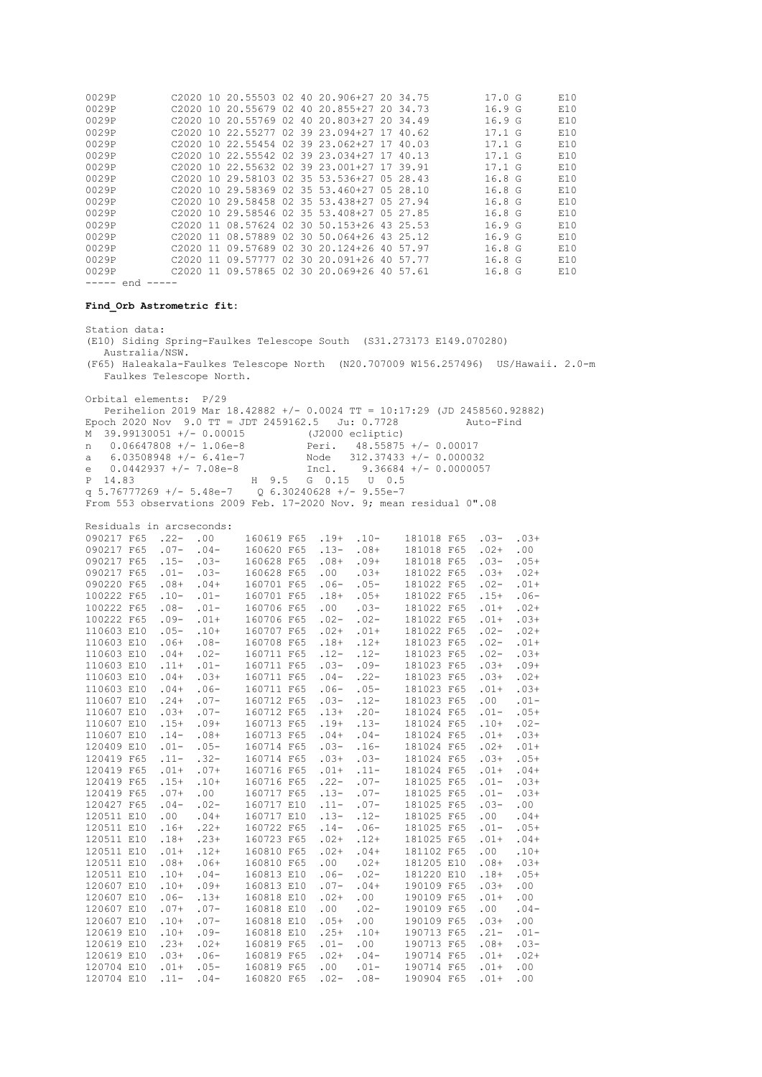| 0029P<br>0029P                                                                |                |                          |                    | C2020 10 20.55503 02 40 20.906+27 20 34.75<br>C2020 10 20.55679 02 40 20.855+27 20 34.73       |                             |                           |                          |                         | 17.0 G<br>16.9 <sub>G</sub> |                    | E10<br>E10 |
|-------------------------------------------------------------------------------|----------------|--------------------------|--------------------|------------------------------------------------------------------------------------------------|-----------------------------|---------------------------|--------------------------|-------------------------|-----------------------------|--------------------|------------|
| 0029P                                                                         |                |                          |                    | C2020 10 20.55769 02 40 20.803+27 20 34.49                                                     |                             |                           |                          |                         | 16.9 <sub>G</sub>           |                    | E10        |
| 0029P                                                                         |                |                          |                    | C2020 10 22.55277 02 39 23.094+27 17 40.62                                                     |                             |                           |                          |                         | 17.1 G                      |                    | E10        |
| 0029P<br>0029P                                                                |                |                          |                    | C2020 10 22.55454 02 39 23.062+27 17 40.03<br>C2020 10 22.55542 02 39 23.034+27 17 40.13       |                             |                           |                          |                         | 17.1 G<br>17.1 G            |                    | E10<br>E10 |
| 0029P                                                                         |                |                          |                    | C2020 10 22.55632 02 39 23.001+27 17 39.91                                                     |                             |                           |                          |                         | 17.1 G                      |                    | E10        |
| 0029P                                                                         |                |                          |                    | C2020 10 29.58103 02 35 53.536+27 05 28.43                                                     |                             |                           |                          |                         | 16.8 <sub>G</sub>           |                    | E10        |
| 0029P                                                                         |                |                          |                    | C2020 10 29.58369 02 35 53.460+27 05 28.10                                                     |                             |                           |                          |                         | 16.8 <sub>G</sub>           |                    | E10        |
| 0029P                                                                         |                |                          |                    | C2020 10 29.58458 02 35 53.438+27 05 27.94                                                     |                             |                           |                          |                         | 16.8 <sub>G</sub>           |                    | E10        |
| 0029P                                                                         |                |                          |                    | C2020 10 29.58546 02 35 53.408+27 05 27.85                                                     |                             |                           |                          |                         | 16.8 <sub>G</sub>           |                    | E10        |
| 0029P<br>0029P                                                                |                |                          |                    | C2020 11 08.57624 02 30 50.153+26 43 25.53<br>C2020 11 08.57889 02 30 50.064+26 43 25.12       |                             |                           |                          |                         | 16.9G                       |                    | E10        |
| 0029P                                                                         |                |                          |                    | C2020 11 09.57689 02 30 20.124+26 40 57.97                                                     |                             |                           |                          |                         | 16.9 <sub>G</sub><br>16.8 G |                    | E10<br>E10 |
| 0029P                                                                         |                |                          |                    |                                                                                                |                             |                           |                          |                         | 16.8 G                      |                    | E10        |
| 0029P                                                                         |                |                          |                    | C2020 11 09.57777 02 30 20.091+26 40 57.77<br>C2020 11 09.57865 02 30 20.069+26 40 57.61       |                             |                           |                          |                         | 16.8 G                      |                    | E10        |
| $--- end ---$                                                                 |                |                          |                    |                                                                                                |                             |                           |                          |                         |                             |                    |            |
| Find Orb Astrometric fit:                                                     |                |                          |                    |                                                                                                |                             |                           |                          |                         |                             |                    |            |
| Station data:                                                                 |                |                          |                    |                                                                                                |                             |                           |                          |                         |                             |                    |            |
|                                                                               | Australia/NSW. |                          |                    | (E10) Siding Spring-Faulkes Telescope South (S31.273173 E149.070280)                           |                             |                           |                          |                         |                             |                    |            |
|                                                                               |                |                          |                    | (F65) Haleakala-Faulkes Telescope North (N20.707009 W156.257496) US/Hawaii. 2.0-m              |                             |                           |                          |                         |                             |                    |            |
|                                                                               |                | Faulkes Telescope North. |                    |                                                                                                |                             |                           |                          |                         |                             |                    |            |
| Orbital elements: P/29                                                        |                |                          |                    |                                                                                                |                             |                           |                          |                         |                             |                    |            |
|                                                                               |                |                          |                    | Perihelion 2019 Mar 18.42882 +/- 0.0024 TT = 10:17:29 (JD 2458560.92882)                       |                             |                           |                          |                         |                             |                    |            |
|                                                                               |                |                          |                    | Epoch 2020 Nov 9.0 TT = JDT 2459162.5 Ju: 0.7728<br>M 39.99130051 +/- 0.00015 (J2000 ecliptic) |                             |                           |                          |                         | Auto-Find                   |                    |            |
| n                                                                             |                |                          |                    |                                                                                                | Peri. 48.55875 +/- 0.00017  |                           |                          |                         |                             |                    |            |
| a                                                                             |                |                          |                    | 0.06647808 +/- 1.06e-8<br>6.03508948 +/- 6.41e-7                                               | Node 312.37433 +/- 0.000032 |                           |                          |                         |                             |                    |            |
| e $0.0442937$ +/- 7.08e-8                                                     |                |                          |                    |                                                                                                | Incl.                       |                           |                          | $9.36684$ +/- 0.0000057 |                             |                    |            |
| P 14.83                                                                       |                |                          |                    | H 9.5 G 0.15 U 0.5                                                                             |                             |                           |                          |                         |                             |                    |            |
|                                                                               |                |                          |                    | q 5.76777269 +/- 5.48e-7 Q 6.30240628 +/- 9.55e-7                                              |                             |                           |                          |                         |                             |                    |            |
|                                                                               |                |                          |                    | From 553 observations 2009 Feb. 17-2020 Nov. 9; mean residual 0".08                            |                             |                           |                          |                         |                             |                    |            |
| Residuals in arcseconds:                                                      |                |                          |                    |                                                                                                |                             |                           |                          |                         |                             |                    |            |
| 090217 F65 .22- .00                                                           |                |                          |                    | 160619 F65 .19+                                                                                |                             | $.10-$                    |                          | 181018 F65              | $.03-$                      | $.03+$             |            |
| 090217 F65 .07- .04-                                                          |                |                          |                    | 160620 F65 .13-<br>160628 F65                                                                  | $.08 +$                     | $.08+$<br>$.09+$          | 181018 F65               | 181018 F65              | $.02+$<br>$.03 -$           | $.00 \,$<br>$.05+$ |            |
| 090217 F65 .07<br>090217 F65 .15- .03-<br>--- --- --- .03-<br>090217 F65 .01- |                |                          | $.03-$             | 160628 F65                                                                                     | .00                         | $.03+$                    | 181022 F65               |                         | $.03+$                      | $.02+$             |            |
| 090220 F65 .08+ .04+<br>100222 F65 .10- .01-                                  |                |                          |                    | 160701 F65                                                                                     | $.06 -$                     | $.05-$                    | 181022 F65               |                         | $.02 -$                     | $.01+$             |            |
|                                                                               |                |                          |                    | 160701 F65                                                                                     | $.18+$                      | $.05+$                    | 181022 F65               |                         | $.15+$                      | $.06-$             |            |
| 100222 F65 .08-                                                               |                |                          | $.01 -$<br>$.01 +$ | 160706 F65                                                                                     | .00                         | $.03-$                    | 181022 F65               |                         | $.01+$                      | $.02+$             |            |
| 100222 F65 .09-                                                               |                |                          |                    | 160706 F65                                                                                     | $.02 -$                     | $.02-$                    | 181022 F65               |                         | $.01+$                      | $.03+$             |            |
| 110603 E10 .05- .10+<br>110603 E10 .06+ .08-                                  |                |                          |                    | 160707 F65<br>160708 F65                                                                       | $.02+$<br>$.18+$            | .01+ 181022 F65<br>$.12+$ | 181023 F65               |                         | $.02 -$<br>$.02 -$          | $.02+$<br>$.01+$   |            |
| 110603 E10                                                                    |                | $.04+$                   | $.02 -$            | 160711 F65                                                                                     | $.12-$                      | $.12-$                    | 181023 F65               |                         | $.02 -$                     | $.03+$             |            |
| 110603 E10                                                                    |                | $.11+ .01-$              |                    | 160711 F65 .03- .09-                                                                           |                             |                           |                          |                         | 181023 F65 .03+ .09+        |                    |            |
| 110603 E10                                                                    |                | $.04+$                   | $.03+$             | 160711 F65                                                                                     | $.04-$                      | $.22-$                    | 181023 F65               |                         | $.03+$                      | $.02+$             |            |
| 110603 E10                                                                    |                | $.04+$                   | $.06-$             | 160711 F65                                                                                     | $.06 -$                     | $.05 -$                   | 181023 F65               |                         | $.01+$                      | $.03+$             |            |
| 110607 E10                                                                    |                | $.24+$                   | $.07 -$            | 160712 F65                                                                                     | $.03 -$                     | $.12-$                    | 181023 F65               |                         | .00                         | $.01 -$            |            |
| 110607 E10<br>110607 E10                                                      |                | $.03+$<br>$.15+$         | $.07 -$<br>$.09+$  | 160712 F65<br>160713 F65                                                                       | $.13+$<br>.19+              | $.20 -$<br>$.13-$         | 181024 F65<br>181024 F65 |                         | $.01 -$<br>$.10+$           | $.05+$<br>$.02 -$  |            |
| 110607 E10                                                                    |                | $.14-$                   | $.08+$             | 160713 F65                                                                                     | $.04+$                      | $.04-$                    | 181024 F65               |                         | $.01+$                      | $.03+$             |            |
| 120409 E10                                                                    |                | $.01 -$                  | $.05 -$            | 160714 F65                                                                                     | $.03 -$                     | $.16-$                    | 181024 F65               |                         | $.02+$                      | $.01+$             |            |
| 120419 F65                                                                    |                | $.11-$                   | $.32-$             | 160714 F65                                                                                     | $.03+$                      | $.03-$                    | 181024 F65               |                         | $.03+$                      | $.05+$             |            |
| 120419 F65                                                                    |                | $.01+$                   | $.07+$             | 160716 F65                                                                                     | $.01+$                      | $.11-$                    | 181024 F65               |                         | $.01+$                      | $.04+$             |            |
| 120419 F65                                                                    |                | $.15+$                   | $.10+$             | 160716 F65                                                                                     | $.22-$                      | $.07 -$                   | 181025 F65               |                         | $.01 -$                     | $.03+$             |            |
| 120419 F65                                                                    |                | $.07+$                   | .00                | 160717 F65                                                                                     | $.13-$                      | $.07 -$                   | 181025 F65               |                         | $.01 -$                     | $.03+$             |            |
| 120427 F65<br>120511 E10                                                      |                | $.04-$<br>.00            | $.02 -$<br>$.04+$  | 160717 E10<br>160717 E10                                                                       | $.11 -$<br>$.13-$           | $.07 -$<br>$.12-$         | 181025 F65<br>181025 F65 |                         | $.03-$<br>.00               | .00<br>$.04+$      |            |
| 120511 E10                                                                    |                | $.16+$                   | $.22+$             | 160722 F65                                                                                     | $.14-$                      | $.06-$                    | 181025 F65               |                         | $.01 -$                     | $.05+$             |            |
| 120511 E10                                                                    |                | $.18+$                   | $.23+$             | 160723 F65                                                                                     | $.02+$                      | $.12+$                    | 181025 F65               |                         | $.01+$                      | $.04+$             |            |
| 120511 E10                                                                    |                | $.01+$                   | $.12+$             | 160810 F65                                                                                     | $.02+$                      | $.04+$                    | 181102 F65               |                         | .00                         | $.10+$             |            |
| 120511 E10                                                                    |                | $.08+$                   | $.06+$             | 160810 F65                                                                                     | .00                         | $.02+$                    | 181205 E10               |                         | $.08+$                      | $.03+$             |            |
| 120511 E10                                                                    |                | $.10+$                   | $.04-$             | 160813 E10                                                                                     | $.06 -$                     | $.02 -$                   | 181220 E10               |                         | $.18+$                      | $.05+$             |            |
| 120607 E10                                                                    |                | $.10+$                   | $.09+$             | 160813 E10                                                                                     | $.07 -$                     | $.04+$                    | 190109 F65               |                         | $.03+$                      | .00                |            |
| 120607 E10<br>120607 E10                                                      |                | $.06 -$<br>$.07+$        | $.13+$<br>$.07 -$  | 160818 E10<br>160818 E10                                                                       | $.02+$<br>.00               | .00<br>$.02 -$            | 190109 F65<br>190109 F65 |                         | $.01 +$<br>.00              | .00<br>$.04-$      |            |
| 120607 E10                                                                    |                | $.10+$                   | $.07 -$            | 160818 E10                                                                                     | $.05+$                      | .00                       | 190109 F65               |                         | $.03+$                      | .00                |            |
| 120619 E10                                                                    |                | $.10+$                   | $.09-$             | 160818 E10                                                                                     | $.25+$                      | $.10+$                    | 190713 F65               |                         | $.21 -$                     | $.01 -$            |            |
| 120619 E10                                                                    |                | $.23+$                   | $.02+$             | 160819 F65                                                                                     | $.01 -$                     | .00                       | 190713 F65               |                         | $.08+$                      | $.03-$             |            |
| 120619 E10                                                                    |                | $.03+$                   | $.06 -$            | 160819 F65                                                                                     | $.02+$                      | $.04-$                    | 190714 F65               |                         | $.01+$                      | $.02+$             |            |
| 120704 E10                                                                    |                | $.01+$                   | $.05 -$            | 160819 F65                                                                                     | .00                         | $.01 -$                   | 190714 F65               |                         | $.01+$                      | .00                |            |
| 120704 E10                                                                    |                | $.11 - .04 -$            |                    | 160820 F65                                                                                     | $.02 - .08 -$               |                           |                          |                         | 190904 F65 .01+             | .00                |            |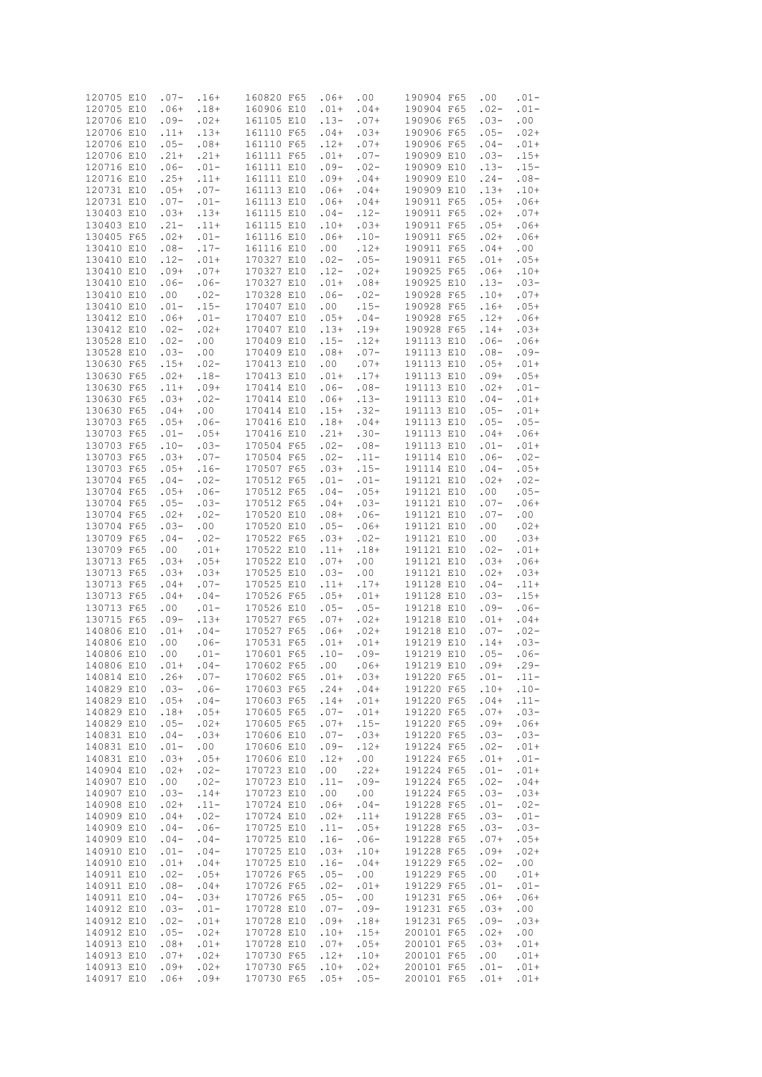| 120705 E10 |            | $.07 -$  | $.16+$  | 160820 F65 | $.06+$  | .00     | 190904 F65 | .00     | $.01 -$ |
|------------|------------|----------|---------|------------|---------|---------|------------|---------|---------|
| 120705 E10 |            | $.06+$   | $.18+$  | 160906 E10 | $.01+$  | $.04+$  | 190904 F65 | $.02 -$ | $.01 -$ |
| 120706 E10 |            | $.09-$   | $.02+$  | 161105 E10 | $.13-$  | $.07+$  | 190906 F65 | $.03-$  | .00     |
|            |            |          |         |            |         |         |            |         |         |
| 120706 E10 |            | $.11+$   | $.13+$  | 161110 F65 | $.04+$  | $.03+$  | 190906 F65 | $.05-$  | $.02+$  |
| 120706 E10 |            | $.05 -$  | $.08+$  | 161110 F65 | $.12+$  | $.07+$  | 190906 F65 | $.04-$  | $.01+$  |
|            |            | $.21+$   |         |            |         | $.07 -$ | 190909 E10 | $.03-$  | $.15+$  |
| 120706 E10 |            |          | $.21+$  | 161111 F65 | $.01+$  |         |            |         |         |
| 120716 E10 |            | $.06-$   | $.01 -$ | 161111 E10 | $.09-$  | $.02 -$ | 190909 E10 | $.13-$  | $.15-$  |
| 120716 E10 |            | $.25+$   | $.11+$  | 161111 E10 | $.09+$  | $.04+$  | 190909 E10 | $.24-$  | $.08-$  |
|            |            |          |         |            |         |         |            |         |         |
| 120731 E10 |            | $.05+$   | $.07 -$ | 161113 E10 | $.06+$  | $.04+$  | 190909 E10 | $.13+$  | $.10+$  |
| 120731 E10 |            | $.07-$   | $.01 -$ | 161113 E10 | $.06+$  | $.04+$  | 190911 F65 | $.05+$  | $.06+$  |
|            |            |          |         |            |         |         |            |         |         |
| 130403 E10 |            | $.03+$   | $.13+$  | 161115 E10 | $.04-$  | $.12-$  | 190911 F65 | $.02+$  | $.07+$  |
| 130403 E10 |            | $.21 -$  | $.11+$  | 161115 E10 | $.10+$  | $.03+$  | 190911 F65 | $.05+$  | $.06+$  |
| 130405 F65 |            | $.02+$   | $.01 -$ | 161116 E10 | $.06+$  | $.10-$  | 190911 F65 | $.02+$  | $.06+$  |
|            |            |          |         |            |         |         |            |         |         |
| 130410 E10 |            | $.08-$   | $.17-$  | 161116 E10 | .00     | $.12+$  | 190911 F65 | $.04+$  | .00     |
| 130410 E10 |            | $.12-$   | $.01+$  | 170327 E10 | $.02 -$ | $.05 -$ | 190911 F65 | $.01+$  | $.05+$  |
|            |            |          |         |            |         |         |            |         |         |
| 130410 E10 |            | $.09+$   | $.07+$  | 170327 E10 | $.12-$  | $.02+$  | 190925 F65 | $.06+$  | $.10+$  |
| 130410 E10 |            | $.06-$   | $.06-$  | 170327 E10 | $.01+$  | $.08+$  | 190925 E10 | $.13-$  | $.03-$  |
| 130410 E10 |            | .00      | $.02-$  | 170328 E10 | $.06-$  | $.02 -$ | 190928 F65 | $.10+$  | $.07+$  |
|            |            |          |         |            |         |         |            |         |         |
| 130410 E10 |            | $.01 -$  | $.15-$  | 170407 E10 | .00     | $.15-$  | 190928 F65 | $.16+$  | $.05+$  |
| 130412 E10 |            | $.06+$   | $.01 -$ | 170407 E10 | $.05+$  | $.04-$  | 190928 F65 | $.12+$  | $.06+$  |
|            |            |          |         |            |         |         |            |         |         |
| 130412 E10 |            | $.02 -$  | $.02+$  | 170407 E10 | $.13+$  | $.19+$  | 190928 F65 | $.14+$  | $.03+$  |
| 130528 E10 |            | $.02-$   | .00     | 170409 E10 | $.15-$  | $.12+$  | 191113 E10 | $.06-$  | $.06+$  |
| 130528 E10 |            | $.03-$   | .00     | 170409 E10 | $.08+$  | $.07 -$ | 191113 E10 | $.08-$  | $.09-$  |
|            |            |          |         |            |         |         |            |         |         |
| 130630 F65 |            | $.15+$   | $.02 -$ | 170413 E10 | .00     | $.07+$  | 191113 E10 | $.05+$  | $.01+$  |
| 130630 F65 |            | $.02+$   | $.18-$  | 170413 E10 | $.01+$  | $.17+$  | 191113 E10 | $.09+$  | $.05+$  |
|            |            |          |         |            |         |         |            |         |         |
| 130630 F65 |            | $.11+$   | $.09+$  | 170414 E10 | $.06-$  | $.08-$  | 191113 E10 | $.02+$  | $.01 -$ |
| 130630 F65 |            | $.03+$   | $.02-$  | 170414 E10 | $.06+$  | $.13-$  | 191113 E10 | $.04-$  | $.01+$  |
| 130630 F65 |            | $.04+$   | .00     | 170414 E10 | $.15+$  | $.32-$  | 191113 E10 | $.05-$  | $.01+$  |
|            |            |          |         |            |         |         |            |         |         |
| 130703 F65 |            | $.05+$   | $.06-$  | 170416 E10 | $.18+$  | $.04+$  | 191113 E10 | $.05 -$ | $.05 -$ |
| 130703 F65 |            | $.01 -$  | $.05+$  | 170416 E10 | $.21+$  | $.30-$  | 191113 E10 | $.04+$  | $.06+$  |
|            |            |          |         |            |         |         |            |         |         |
| 130703 F65 |            | $.10-$   | $.03-$  | 170504 F65 | $.02 -$ | $.08-$  | 191113 E10 | $.01 -$ | $.01+$  |
| 130703 F65 |            | $.03+$   | $.07 -$ | 170504 F65 | $.02 -$ | $.11-$  | 191114 E10 | $.06-$  | $.02-$  |
| 130703 F65 |            | $.05+$   | $.16-$  | 170507 F65 | $.03+$  | $.15-$  | 191114 E10 | $.04-$  | $.05+$  |
|            |            |          |         |            |         |         |            |         |         |
| 130704 F65 |            | $.04-$   | $.02 -$ | 170512 F65 | $.01 -$ | $.01 -$ | 191121 E10 | $.02+$  | $.02 -$ |
| 130704 F65 |            | $.05+$   | $.06-$  | 170512 F65 | $.04-$  | $.05+$  | 191121 E10 | .00     | $.05 -$ |
|            |            |          |         | 170512 F65 |         |         | 191121 E10 | $.07-$  |         |
| 130704 F65 |            | $.05 -$  | $.03-$  |            | $.04+$  | $.03-$  |            |         | $.06+$  |
| 130704 F65 |            | $.02+$   | $.02-$  | 170520 E10 | $.08+$  | $.06 -$ | 191121 E10 | $.07-$  | .00     |
| 130704 F65 |            | $.03-$   | .00     | 170520 E10 | $.05 -$ | $.06+$  | 191121 E10 | .00     | $.02+$  |
|            |            |          |         |            |         |         |            |         |         |
| 130709 F65 |            | $.04-$   | $.02-$  | 170522 F65 | $.03+$  | $.02-$  | 191121 E10 | .00     | $.03+$  |
| 130709 F65 |            | .00.     | $.01+$  | 170522 E10 | $.11+$  | $.18+$  | 191121 E10 | $.02 -$ | $.01+$  |
| 130713 F65 |            | $.03+$   | $.05+$  | 170522 E10 | $.07+$  | .00     | 191121 E10 | $.03+$  | $.06+$  |
|            |            |          |         |            |         |         |            |         |         |
| 130713 F65 |            | $.03+$   | $.03+$  | 170525 E10 | $.03-$  | .00     | 191121 E10 | $.02+$  | $.03+$  |
| 130713 F65 |            | $.04+$   | $.07-$  | 170525 E10 | $.11+$  | $.17+$  | 191128 E10 | $.04-$  | $.11+$  |
|            |            |          |         |            |         |         |            |         |         |
| 130713 F65 |            | $.04+$   | $.04-$  | 170526 F65 | $.05+$  | $.01+$  | 191128 E10 | $.03-$  | $.15+$  |
| 130713 F65 |            | .00      | $.01 -$ | 170526 E10 | $.05-$  | $.05 -$ | 191218 E10 | $.09-$  | $.06-$  |
| 130715 F65 |            | $.09-$   | $.13+$  | 170527 F65 | $.07+$  | $.02+$  | 191218 E10 | $.01+$  | $.04+$  |
|            |            |          |         |            |         |         |            |         |         |
| 140806 E10 |            | $.01+$   | $.04-$  | 170527 F65 | $.06+$  | $.02+$  | 191218 E10 | $.07 -$ | $.02-$  |
| 140806 E10 |            | .00.     | $.06-$  | 170531 F65 | $.01+$  | $.01+$  | 191219 E10 | $.14+$  | $.03-$  |
|            |            |          |         |            |         |         |            |         |         |
| 140806 E10 |            | .00      | $.01 -$ | 170601 F65 | $.10-$  | $.09-$  | 191219 E10 | $.05-$  | $.06-$  |
| 140806 E10 |            | $.01+$   | $.04-$  | 170602 F65 | .00     | $.06+$  | 191219 E10 | $.09+$  | $.29 -$ |
| 140814 E10 |            | $.26+$   | $.07-$  | 170602 F65 | $.01+$  | $.03+$  | 191220 F65 | $.01 -$ | $.11-$  |
|            |            |          |         |            |         |         |            |         |         |
| 140829 E10 |            | $.03-$   | $.06-$  | 170603 F65 | $.24+$  | $.04+$  | 191220 F65 | $.10+$  | $.10-$  |
| 140829 E10 |            | $.05+$   | $.04-$  | 170603 F65 | $.14+$  | $.01+$  | 191220 F65 | $.04+$  | $.11-$  |
| 140829 E10 |            | $.18+$   | $.05+$  | 170605 F65 | $.07 -$ | $.01+$  | 191220 F65 | $.07+$  | $.03-$  |
|            |            |          |         |            |         |         |            |         |         |
| 140829 E10 |            | $.05 -$  | $.02+$  | 170605 F65 | $.07+$  | $.15-$  | 191220 F65 | $.09+$  | $.06+$  |
| 140831 E10 |            | $.04-$   | $.03+$  | 170606 E10 | $.07 -$ | $.03+$  | 191220 F65 | $.03-$  | $.03-$  |
| 140831 E10 |            | $.01 -$  | .00     | 170606 E10 | $.09-$  | $.12+$  | 191224 F65 | $.02 -$ | $.01+$  |
|            |            |          |         |            |         |         |            |         |         |
| 140831 E10 |            | $.03+$   | $.05+$  | 170606 E10 | $.12+$  | .00     | 191224 F65 | $.01+$  | $.01 -$ |
| 140904 E10 |            | $.02+$   | $.02-$  | 170723 E10 | .00     | $.22+$  | 191224 F65 | $.01 -$ | $.01+$  |
|            |            |          |         |            |         |         |            |         |         |
| 140907 E10 |            | $.00 \,$ | $.02 -$ | 170723 E10 | $.11-$  | $.09-$  | 191224 F65 | $.02-$  | $.04+$  |
| 140907 E10 |            | $.03-$   | $.14+$  | 170723 E10 | .00     | .00     | 191224 F65 | $.03-$  | $.03+$  |
| 140908 E10 |            | $.02+$   | $.11-$  | 170724 E10 | $.06+$  | $.04-$  | 191228 F65 | $.01 -$ | $.02-$  |
|            |            |          |         |            |         |         |            |         |         |
| 140909 E10 |            | $.04+$   | $.02 -$ | 170724 E10 | $.02+$  | $.11+$  | 191228 F65 | $.03-$  | $.01 -$ |
| 140909 E10 |            | $.04-$   | $.06-$  | 170725 E10 | $.11-$  | $.05+$  | 191228 F65 | $.03-$  | $.03-$  |
|            |            |          |         |            |         |         |            |         |         |
| 140909 E10 |            | $.04-$   | $.04-$  | 170725 E10 | $.16-$  | $.06-$  | 191228 F65 | $.07+$  | $.05+$  |
| 140910 E10 |            | $.01 -$  | $.04-$  | 170725 E10 | $.03+$  | $.10+$  | 191228 F65 | $.09+$  | $.02+$  |
| 140910 E10 |            | $.01+$   | $.04+$  | 170725 E10 | $.16-$  | $.04+$  | 191229 F65 | $.02 -$ | .00     |
|            |            |          |         |            |         |         |            |         |         |
| 140911 E10 |            | $.02 -$  | $.05+$  | 170726 F65 | $.05 -$ | .00     | 191229 F65 | $.00\,$ | $.01+$  |
| 140911 E10 |            | $.08-$   | $.04+$  | 170726 F65 | $.02 -$ | $.01+$  | 191229 F65 | $.01 -$ | $.01 -$ |
|            |            |          |         |            |         |         |            |         |         |
| 140911 E10 |            | $.04-$   | $.03+$  | 170726 F65 | $.05-$  | .00     | 191231 F65 | $.06+$  | $.06+$  |
| 140912 E10 |            | $.03-$   | $.01 -$ | 170728 E10 | $.07-$  | $.09-$  | 191231 F65 | $.03+$  | .00     |
| 140912 E10 |            | $.02 -$  | $.01+$  | 170728 E10 | $.09+$  | $.18+$  | 191231 F65 | $.09-$  | $.03+$  |
|            |            |          |         |            |         |         |            |         |         |
| 140912 E10 |            | $.05 -$  | $.02+$  | 170728 E10 | $.10+$  | $.15+$  | 200101 F65 | $.02+$  | .00     |
| 140913 E10 |            | $.08+$   | $.01+$  | 170728 E10 | $.07+$  | $.05+$  | 200101 F65 | $.03+$  | $.01+$  |
| 140913 E10 |            | $.07+$   | $.02+$  | 170730 F65 | $.12+$  | $.10+$  | 200101 F65 | .00     | $.01+$  |
|            |            |          |         |            |         |         |            |         |         |
| 140913 E10 |            | $.09+$   | $.02+$  | 170730 F65 | $.10+$  | $.02+$  | 200101 F65 | $.01 -$ | $.01+$  |
|            | 140917 E10 | $.06+$   | $.09+$  | 170730 F65 | $.05+$  | $.05 -$ | 200101 F65 | $.01+$  | $.01+$  |